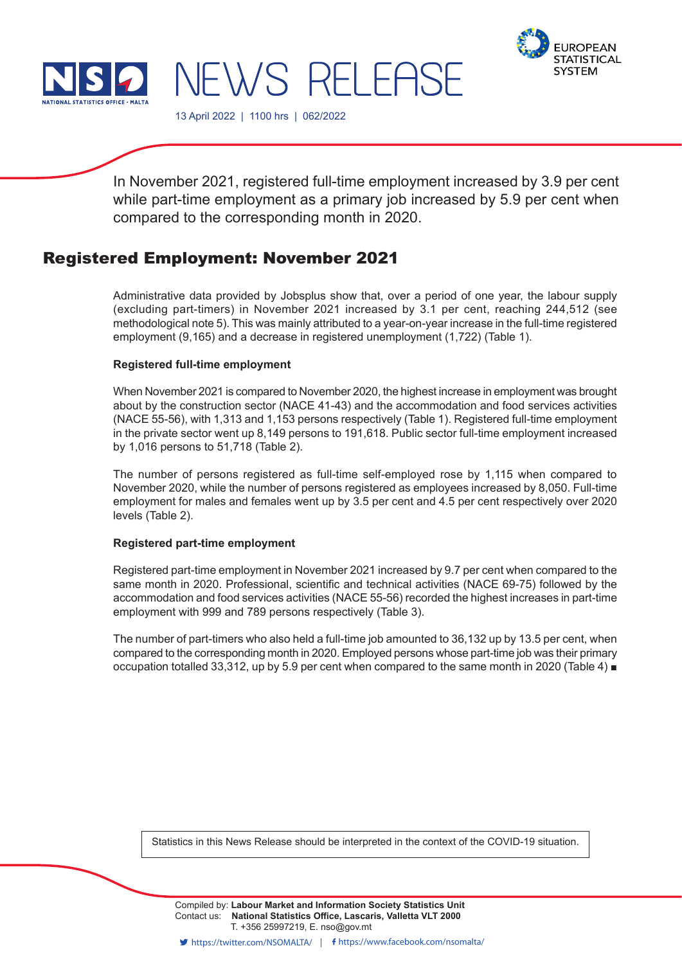



13 April 2022 | 1100 hrs | 062/2022

NEWS RELEASE

In November 2021, registered full-time employment increased by 3.9 per cent while part-time employment as a primary job increased by 5.9 per cent when compared to the corresponding month in 2020.

# Registered Employment: November 2021

Administrative data provided by Jobsplus show that, over a period of one year, the labour supply (excluding part-timers) in November 2021 increased by 3.1 per cent, reaching 244,512 (see methodological note 5). This was mainly attributed to a year-on-year increase in the full-time registered employment (9,165) and a decrease in registered unemployment (1,722) (Table 1).

## **Registered full-time employment**

When November 2021 is compared to November 2020, the highest increase in employment was brought about by the construction sector (NACE 41-43) and the accommodation and food services activities (NACE 55-56), with 1,313 and 1,153 persons respectively (Table 1). Registered full-time employment in the private sector went up 8,149 persons to 191,618. Public sector full-time employment increased by 1,016 persons to 51,718 (Table 2).

The number of persons registered as full-time self-employed rose by 1,115 when compared to November 2020, while the number of persons registered as employees increased by 8,050. Full-time employment for males and females went up by 3.5 per cent and 4.5 per cent respectively over 2020 levels (Table 2).

# **Registered part-time employment**

Registered part-time employment in November 2021 increased by 9.7 per cent when compared to the same month in 2020. Professional, scientific and technical activities (NACE 69-75) followed by the accommodation and food services activities (NACE 55-56) recorded the highest increases in part-time employment with 999 and 789 persons respectively (Table 3).

The number of part-timers who also held a full-time job amounted to 36,132 up by 13.5 per cent, when compared to the corresponding month in 2020. Employed persons whose part-time job was their primary occupation totalled 33,312, up by 5.9 per cent when compared to the same month in 2020 (Table 4) ■

Statistics in this News Release should be interpreted in the context of the COVID-19 situation.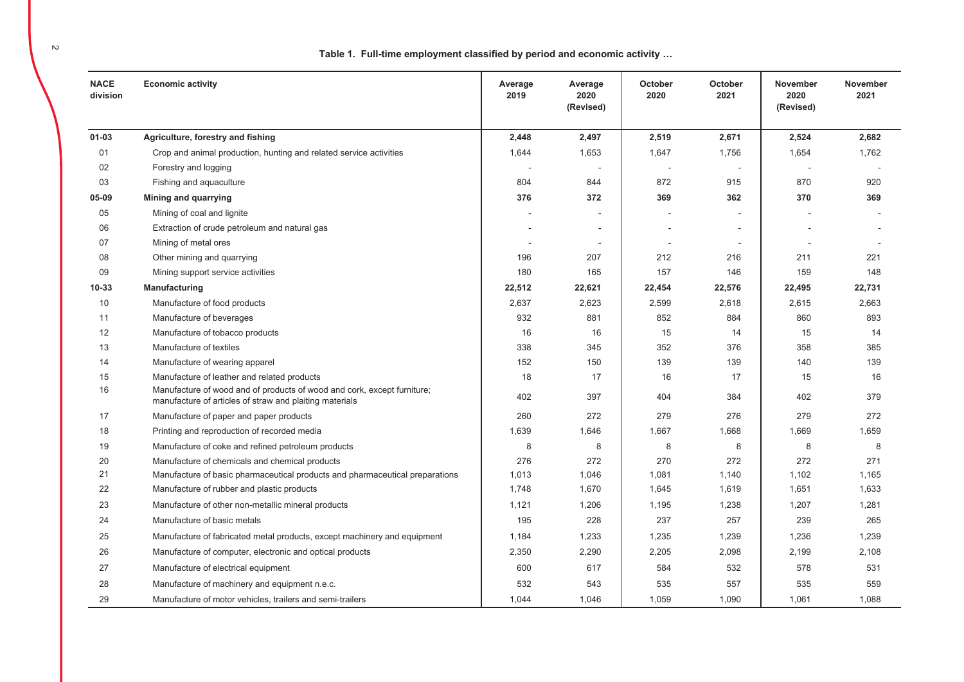Table 1. Full-time employment classified by period and economic activity ...

| <b>NACE</b><br>division | <b>Economic activity</b>                                                                                                           | Average<br>2019 | Average<br>2020<br>(Revised) | October<br>2020          | <b>October</b><br>2021 | <b>November</b><br>2020<br>(Revised) | <b>November</b><br>2021 |
|-------------------------|------------------------------------------------------------------------------------------------------------------------------------|-----------------|------------------------------|--------------------------|------------------------|--------------------------------------|-------------------------|
| $01 - 03$               | Agriculture, forestry and fishing                                                                                                  | 2,448           | 2,497                        | 2,519                    | 2,671                  | 2,524                                | 2,682                   |
| 01                      | Crop and animal production, hunting and related service activities                                                                 | 1,644           | 1,653                        | 1,647                    | 1,756                  | 1,654                                | 1,762                   |
| 02                      | Forestry and logging                                                                                                               |                 |                              |                          |                        |                                      |                         |
| 03                      | Fishing and aquaculture                                                                                                            | 804             | 844                          | 872                      | 915                    | 870                                  | 920                     |
| 05-09                   | Mining and quarrying                                                                                                               | 376             | 372                          | 369                      | 362                    | 370                                  | 369                     |
| 05                      | Mining of coal and lignite                                                                                                         |                 | $\sim$                       |                          |                        | $\blacksquare$                       |                         |
| 06                      | Extraction of crude petroleum and natural gas                                                                                      |                 | $\blacksquare$               |                          |                        |                                      |                         |
| 07                      | Mining of metal ores                                                                                                               |                 | $\overline{a}$               | $\overline{\phantom{a}}$ |                        |                                      |                         |
| 08                      | Other mining and quarrying                                                                                                         | 196             | 207                          | 212                      | 216                    | 211                                  | 221                     |
| 09                      | Mining support service activities                                                                                                  | 180             | 165                          | 157                      | 146                    | 159                                  | 148                     |
| 10-33                   | Manufacturing                                                                                                                      | 22,512          | 22,621                       | 22,454                   | 22,576                 | 22,495                               | 22,731                  |
| 10                      | Manufacture of food products                                                                                                       | 2,637           | 2,623                        | 2,599                    | 2,618                  | 2,615                                | 2,663                   |
| 11                      | Manufacture of beverages                                                                                                           | 932             | 881                          | 852                      | 884                    | 860                                  | 893                     |
| 12                      | Manufacture of tobacco products                                                                                                    | 16              | 16                           | 15                       | 14                     | 15                                   | 14                      |
| 13                      | Manufacture of textiles                                                                                                            | 338             | 345                          | 352                      | 376                    | 358                                  | 385                     |
| 14                      | Manufacture of wearing apparel                                                                                                     | 152             | 150                          | 139                      | 139                    | 140                                  | 139                     |
| 15                      | Manufacture of leather and related products                                                                                        | 18              | 17                           | 16                       | 17                     | 15                                   | 16                      |
| 16                      | Manufacture of wood and of products of wood and cork, except furniture;<br>manufacture of articles of straw and plaiting materials | 402             | 397                          | 404                      | 384                    | 402                                  | 379                     |
| 17                      | Manufacture of paper and paper products                                                                                            | 260             | 272                          | 279                      | 276                    | 279                                  | 272                     |
| 18                      | Printing and reproduction of recorded media                                                                                        | 1,639           | 1,646                        | 1,667                    | 1,668                  | 1,669                                | 1,659                   |
| 19                      | Manufacture of coke and refined petroleum products                                                                                 | 8               | 8                            | 8                        | 8                      | 8                                    | 8                       |
| 20                      | Manufacture of chemicals and chemical products                                                                                     | 276             | 272                          | 270                      | 272                    | 272                                  | 271                     |
| 21                      | Manufacture of basic pharmaceutical products and pharmaceutical preparations                                                       | 1,013           | 1,046                        | 1,081                    | 1,140                  | 1,102                                | 1,165                   |
| 22                      | Manufacture of rubber and plastic products                                                                                         | 1,748           | 1,670                        | 1,645                    | 1,619                  | 1,651                                | 1,633                   |
| 23                      | Manufacture of other non-metallic mineral products                                                                                 | 1,121           | 1,206                        | 1,195                    | 1,238                  | 1,207                                | 1,281                   |
| 24                      | Manufacture of basic metals                                                                                                        | 195             | 228                          | 237                      | 257                    | 239                                  | 265                     |
| 25                      | Manufacture of fabricated metal products, except machinery and equipment                                                           | 1,184           | 1,233                        | 1,235                    | 1,239                  | 1,236                                | 1,239                   |
| 26                      | Manufacture of computer, electronic and optical products                                                                           | 2,350           | 2,290                        | 2,205                    | 2,098                  | 2,199                                | 2,108                   |
| 27                      | Manufacture of electrical equipment                                                                                                | 600             | 617                          | 584                      | 532                    | 578                                  | 531                     |
| 28                      | Manufacture of machinery and equipment n.e.c.                                                                                      | 532             | 543                          | 535                      | 557                    | 535                                  | 559                     |
| 29                      | Manufacture of motor vehicles, trailers and semi-trailers                                                                          | 1,044           | 1,046                        | 1,059                    | 1,090                  | 1,061                                | 1,088                   |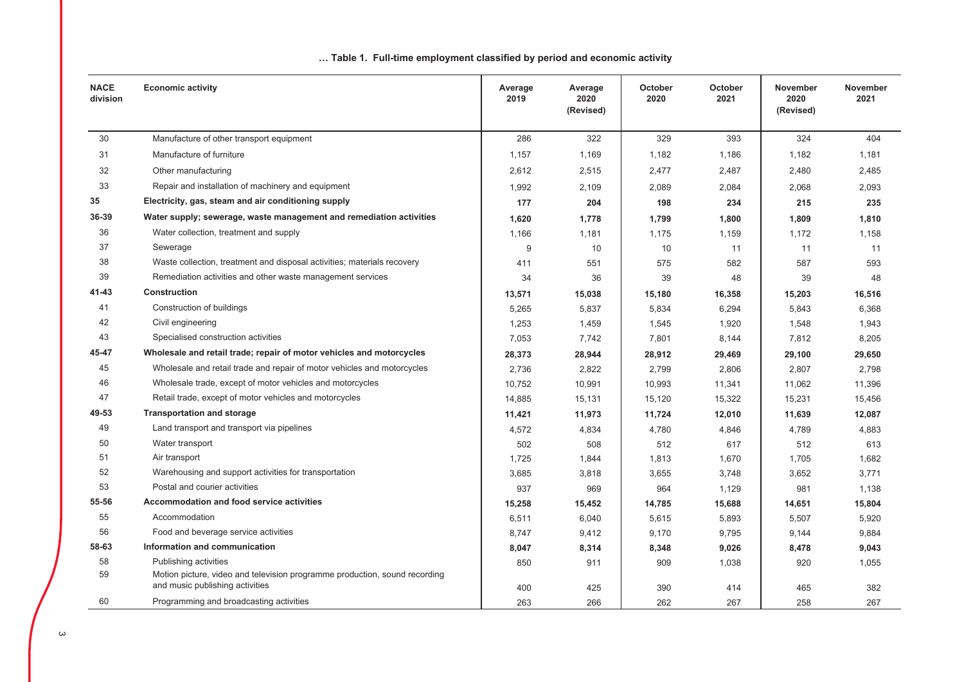| <b>NACE</b><br>division | <b>Economic activity</b>                                                                                      | Average<br>2019 | Average<br>2020<br>(Revised) | October<br>2020 | October<br>2021 | November<br>2020<br>(Revised) | November<br>2021 |
|-------------------------|---------------------------------------------------------------------------------------------------------------|-----------------|------------------------------|-----------------|-----------------|-------------------------------|------------------|
| 30                      | Manufacture of other transport equipment                                                                      | 286             | 322                          | 329             | 393             | 324                           | 404              |
| 31                      | Manufacture of furniture                                                                                      | 1,157           | 1,169                        | 1,182           | 1,186           | 1,182                         | 1,181            |
| 32                      | Other manufacturing                                                                                           | 2,612           | 2,515                        | 2,477           | 2,487           | 2,480                         | 2,485            |
| 33                      | Repair and installation of machinery and equipment                                                            | 1,992           | 2,109                        | 2,089           | 2,084           | 2,068                         | 2,093            |
| 35                      | Electricity, gas, steam and air conditioning supply                                                           | 177             | 204                          | 198             | 234             | 215                           | 235              |
| 36-39                   | Water supply; sewerage, waste management and remediation activities                                           | 1,620           | 1,778                        | 1,799           | 1,800           | 1,809                         | 1,810            |
| 36                      | Water collection, treatment and supply                                                                        | 1.166           | 1,181                        | 1,175           | 1,159           | 1,172                         | 1,158            |
| 37                      | Sewerage                                                                                                      | 9               | 10                           | 10              | 11              | 11                            | 11               |
| 38                      | Waste collection, treatment and disposal activities; materials recovery                                       | 411             | 551                          | 575             | 582             | 587                           | 593              |
| 39                      | Remediation activities and other waste management services                                                    | 34              | 36                           | 39              | 48              | 39                            | 48               |
| 41-43                   | <b>Construction</b>                                                                                           | 13,571          | 15,038                       | 15,180          | 16,358          | 15,203                        | 16,516           |
| 41                      | Construction of buildings                                                                                     | 5,265           | 5,837                        | 5,834           | 6,294           | 5,843                         | 6,368            |
| 42                      | Civil engineering                                                                                             | 1,253           | 1,459                        | 1,545           | 1,920           | 1,548                         | 1,943            |
| 43                      | Specialised construction activities                                                                           | 7,053           | 7,742                        | 7,801           | 8,144           | 7,812                         | 8,205            |
| 45-47                   | Wholesale and retail trade; repair of motor vehicles and motorcycles                                          | 28,373          | 28,944                       | 28,912          | 29,469          | 29,100                        | 29,650           |
| 45                      | Wholesale and retail trade and repair of motor vehicles and motorcycles                                       | 2,736           | 2,822                        | 2,799           | 2,806           | 2,807                         | 2,798            |
| 46                      | Wholesale trade, except of motor vehicles and motorcycles                                                     | 10,752          | 10,991                       | 10,993          | 11,341          | 11,062                        | 11,396           |
| 47                      | Retail trade, except of motor vehicles and motorcycles                                                        | 14,885          | 15,131                       | 15,120          | 15,322          | 15,231                        | 15,456           |
| 49-53                   | <b>Transportation and storage</b>                                                                             | 11,421          | 11,973                       | 11,724          | 12,010          | 11,639                        | 12,087           |
| 49                      | Land transport and transport via pipelines                                                                    | 4,572           | 4,834                        | 4,780           | 4,846           | 4,789                         | 4,883            |
| 50                      | Water transport                                                                                               | 502             | 508                          | 512             | 617             | 512                           | 613              |
| 51                      | Air transport                                                                                                 | 1,725           | 1,844                        | 1,813           | 1,670           | 1,705                         | 1,682            |
| 52                      | Warehousing and support activities for transportation                                                         | 3,685           | 3,818                        | 3,655           | 3,748           | 3,652                         | 3,771            |
| 53                      | Postal and courier activities                                                                                 | 937             | 969                          | 964             | 1,129           | 981                           | 1,138            |
| 55-56                   | Accommodation and food service activities                                                                     | 15,258          | 15,452                       | 14,785          | 15,688          | 14,651                        | 15,804           |
| 55                      | Accommodation                                                                                                 | 6,511           | 6,040                        | 5,615           | 5,893           | 5,507                         | 5,920            |
| 56                      | Food and beverage service activities                                                                          | 8,747           | 9,412                        | 9,170           | 9,795           | 9,144                         | 9,884            |
| 58-63                   | Information and communication                                                                                 | 8,047           | 8,314                        | 8,348           | 9,026           | 8,478                         | 9,043            |
| 58                      | Publishing activities                                                                                         | 850             | 911                          | 909             | 1,038           | 920                           | 1,055            |
| 59                      | Motion picture, video and television programme production, sound recording<br>and music publishing activities | 400             | 425                          | 390             | 414             | 465                           | 382              |
| 60                      | Programming and broadcasting activities                                                                       | 263             | 266                          | 262             | 267             | 258                           | 267              |

## ... Table 1. Full-time employment classified by period and economic activity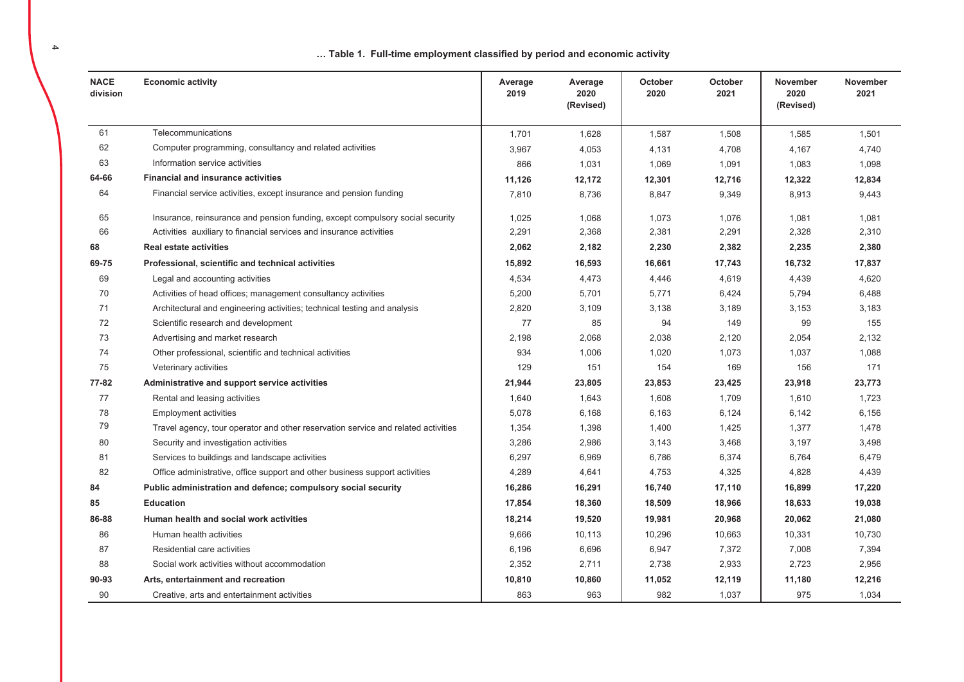... Table 1. Full-time employment classified by period and economic activity

| <b>NACE</b><br>division | <b>Economic activity</b>                                                          | Average<br>2019 | Average<br>2020<br>(Revised) | October<br>2020 | October<br>2021 | November<br>2020<br>(Revised) | November<br>2021 |
|-------------------------|-----------------------------------------------------------------------------------|-----------------|------------------------------|-----------------|-----------------|-------------------------------|------------------|
| 61                      | Telecommunications                                                                | 1,701           | 1,628                        | 1,587           | 1,508           | 1,585                         | 1,501            |
| 62                      | Computer programming, consultancy and related activities                          | 3,967           | 4,053                        | 4,131           | 4,708           | 4,167                         | 4,740            |
| 63                      | Information service activities                                                    | 866             | 1,031                        | 1,069           | 1,091           | 1,083                         | 1,098            |
| 64-66                   | <b>Financial and insurance activities</b>                                         | 11,126          | 12,172                       | 12,301          | 12,716          | 12,322                        | 12,834           |
| 64                      | Financial service activities, except insurance and pension funding                | 7,810           | 8,736                        | 8,847           | 9,349           | 8,913                         | 9,443            |
| 65                      | Insurance, reinsurance and pension funding, except compulsory social security     | 1.025           | 1,068                        | 1.073           | 1,076           | 1,081                         | 1,081            |
| 66                      | Activities auxiliary to financial services and insurance activities               | 2,291           | 2,368                        | 2,381           | 2,291           | 2,328                         | 2,310            |
| 68                      | <b>Real estate activities</b>                                                     | 2,062           | 2,182                        | 2,230           | 2,382           | 2,235                         | 2,380            |
| 69-75                   | Professional, scientific and technical activities                                 | 15,892          | 16,593                       | 16,661          | 17,743          | 16,732                        | 17,837           |
| 69                      | Legal and accounting activities                                                   | 4,534           | 4,473                        | 4,446           | 4,619           | 4,439                         | 4,620            |
| 70                      | Activities of head offices; management consultancy activities                     | 5,200           | 5,701                        | 5,771           | 6,424           | 5,794                         | 6,488            |
| 71                      | Architectural and engineering activities; technical testing and analysis          | 2,820           | 3,109                        | 3,138           | 3,189           | 3,153                         | 3,183            |
| 72                      | Scientific research and development                                               | 77              | 85                           | 94              | 149             | 99                            | 155              |
| 73                      | Advertising and market research                                                   | 2,198           | 2,068                        | 2,038           | 2,120           | 2,054                         | 2,132            |
| 74                      | Other professional, scientific and technical activities                           | 934             | 1,006                        | 1,020           | 1,073           | 1,037                         | 1,088            |
| 75                      | Veterinary activities                                                             | 129             | 151                          | 154             | 169             | 156                           | 171              |
| 77-82                   | Administrative and support service activities                                     | 21,944          | 23,805                       | 23,853          | 23,425          | 23,918                        | 23,773           |
| 77                      | Rental and leasing activities                                                     | 1,640           | 1,643                        | 1,608           | 1,709           | 1,610                         | 1,723            |
| 78                      | <b>Employment activities</b>                                                      | 5,078           | 6,168                        | 6,163           | 6,124           | 6,142                         | 6,156            |
| 79                      | Travel agency, tour operator and other reservation service and related activities | 1,354           | 1,398                        | 1,400           | 1,425           | 1,377                         | 1,478            |
| 80                      | Security and investigation activities                                             | 3,286           | 2,986                        | 3,143           | 3,468           | 3,197                         | 3,498            |
| 81                      | Services to buildings and landscape activities                                    | 6,297           | 6,969                        | 6,786           | 6,374           | 6,764                         | 6,479            |
| 82                      | Office administrative, office support and other business support activities       | 4,289           | 4,641                        | 4,753           | 4,325           | 4,828                         | 4,439            |
| 84                      | Public administration and defence; compulsory social security                     | 16,286          | 16,291                       | 16,740          | 17,110          | 16,899                        | 17,220           |
| 85                      | <b>Education</b>                                                                  | 17,854          | 18,360                       | 18,509          | 18,966          | 18,633                        | 19,038           |
| 86-88                   | Human health and social work activities                                           | 18,214          | 19,520                       | 19,981          | 20,968          | 20,062                        | 21,080           |
| 86                      | Human health activities                                                           | 9,666           | 10,113                       | 10,296          | 10,663          | 10,331                        | 10,730           |
| 87                      | Residential care activities                                                       | 6,196           | 6,696                        | 6,947           | 7,372           | 7,008                         | 7,394            |
| 88                      | Social work activities without accommodation                                      | 2,352           | 2,711                        | 2,738           | 2,933           | 2,723                         | 2,956            |
| 90-93                   | Arts, entertainment and recreation                                                | 10,810          | 10,860                       | 11,052          | 12,119          | 11,180                        | 12,216           |
| 90                      | Creative, arts and entertainment activities                                       | 863             | 963                          | 982             | 1,037           | 975                           | 1,034            |

 $\blacktriangle$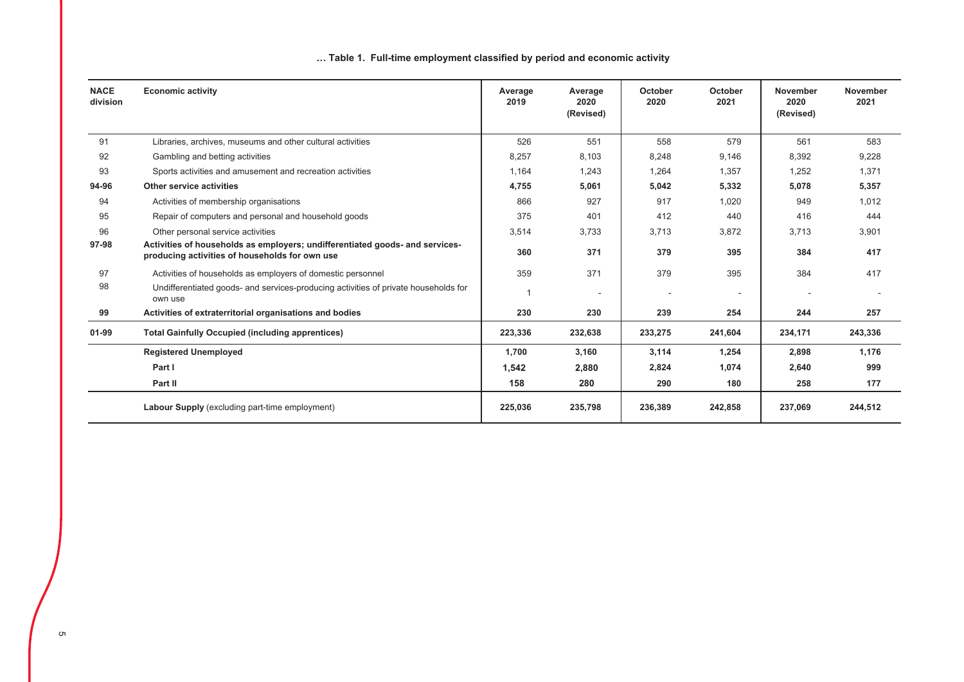## ... Table 1. Full-time employment classified by period and economic activity

| <b>NACE</b><br>division | <b>Economic activity</b>                                                                                                       | Average<br>2019 | Average<br>2020<br>(Revised) | October<br>2020 | October<br>2021          | <b>November</b><br>2020<br>(Revised) | <b>November</b><br>2021 |
|-------------------------|--------------------------------------------------------------------------------------------------------------------------------|-----------------|------------------------------|-----------------|--------------------------|--------------------------------------|-------------------------|
| 91                      | Libraries, archives, museums and other cultural activities                                                                     | 526             | 551                          | 558             | 579                      | 561                                  | 583                     |
| 92                      | Gambling and betting activities                                                                                                | 8,257           | 8,103                        | 8,248           | 9,146                    | 8,392                                | 9,228                   |
| 93                      | Sports activities and amusement and recreation activities                                                                      | 1,164           | 1,243                        | 1,264           | 1,357                    | 1,252                                | 1,371                   |
| 94-96                   | Other service activities                                                                                                       | 4,755           | 5,061                        | 5,042           | 5,332                    | 5,078                                | 5,357                   |
| 94                      | Activities of membership organisations                                                                                         | 866             | 927                          | 917             | 1,020                    | 949                                  | 1,012                   |
| 95                      | Repair of computers and personal and household goods                                                                           | 375             | 401                          | 412             | 440                      | 416                                  | 444                     |
| 96                      | Other personal service activities                                                                                              | 3,514           | 3,733                        | 3,713           | 3,872                    | 3,713                                | 3,901                   |
| 97-98                   | Activities of households as employers; undifferentiated goods- and services-<br>producing activities of households for own use | 360             | 371                          | 379             | 395                      | 384                                  | 417                     |
| 97                      | Activities of households as employers of domestic personnel                                                                    | 359             | 371                          | 379             | 395                      | 384                                  | 417                     |
| 98                      | Undifferentiated goods- and services-producing activities of private households for<br>own use                                 |                 | ٠                            |                 | $\overline{\phantom{a}}$ |                                      |                         |
| 99                      | Activities of extraterritorial organisations and bodies                                                                        | 230             | 230                          | 239             | 254                      | 244                                  | 257                     |
| $01 - 99$               | <b>Total Gainfully Occupied (including apprentices)</b>                                                                        | 223,336         | 232,638                      | 233,275         | 241,604                  | 234,171                              | 243,336                 |
|                         | <b>Registered Unemployed</b>                                                                                                   | 1,700           | 3,160                        | 3,114           | 1,254                    | 2,898                                | 1,176                   |
|                         | Part I                                                                                                                         | 1,542           | 2,880                        | 2,824           | 1,074                    | 2,640                                | 999                     |
|                         | Part II                                                                                                                        | 158             | 280                          | 290             | 180                      | 258                                  | 177                     |
|                         | <b>Labour Supply</b> (excluding part-time employment)                                                                          | 225,036         | 235,798                      | 236,389         | 242,858                  | 237,069                              | 244,512                 |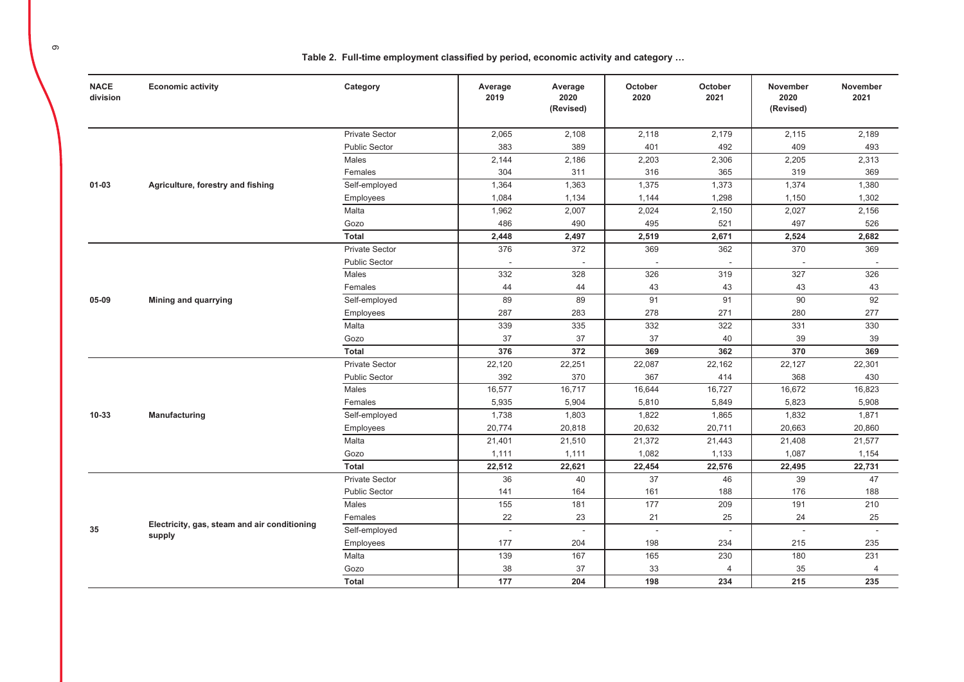**NACE Economic activity** October October November Category Average Average November division 2019 2020 2020 2021 2020 2021 (Revised) (Revised) 2,065 2,108 2,118 2.179 2,115 2.189 **Private Sector** 401 **Public Sector** 383 389 492 409 493 Males  $2.203$  $2.205$  $2.313$  $2.144$  $2.186$ 2.306 304 311 316 365 319 369 Females 1.364 1.363 1.375 1.373 1.374 1.380  $01 - 03$ Agriculture, forestry and fishing Self-emploved Employees 1,084 1,134 1.144 1,298 1,150 1.302 Malta 1,962 2,007  $2,024$  $2,150$ 2,027 2,156 486 495 497 Gozo 490 521 526 Total  $2.448$ 2.519  $2.671$  $2.524$ 2.682 2.497 **Private Sector** 376 372 369 362 370 369 **Public Sector** J. ÷ ÷. Males  $332$  $\overline{328}$  $326$  $319$  $327$  $326$ Females 44 44 43 43 43 43 Self-employed 89 89  $91$  $91$  $90$  $92$ 05-09 Mining and quarrying 287 283 278 271 280 277 Employees Malta 339 335 332 322 331 330 37 37 37 40 39 Gozo 39 Total 376 372 369 362 370 369 22,120 22,251 22,087 22,162 22,127 22,301 **Private Sector Public Sector** 392 370 367 414 368 430 Males 16,577  $16,717$ 16,644 16,727 16,672 16,823 Females 5.935 5.904 5.810 5.849 5.823 5.908  $10 - 33$ Manufacturing Self-employed 1,738 1,803 1,822 1,865 1,832 1,871 Employees 20,774 20,818 20.632 20.711 20,663 20,860 Malta 21,401 21,510 21,372 21,443 21,408 21,577 Gozo  $1,111$  $1,111$ 1,082 1,133 1,087 1,154 Total 22,512 22,621 22,454 22,576 22,495 22,731 **Private Sector** 36 40 37 46 39 47 **Public Sector** 141 164 161 188 176 188 Males 155  $209$  $210$  $181$  $177$ 191  $22$ 23 25 25 Females 21 24 Electricity, gas, steam and air conditioning Self-employed  $\sim$  $\sim$  $\sim$  $\sim$  $\mathcal{L}$  $\sim$ supply Employees 177 204 198 234 215 235 Malta 139 167 165 230 180 231 38 37 33 35 Gozo  $\overline{4}$  $\overline{4}$ 

177

204

198

234

215

235

Total

Table 2. Full-time employment classified by period, economic activity and category ...

35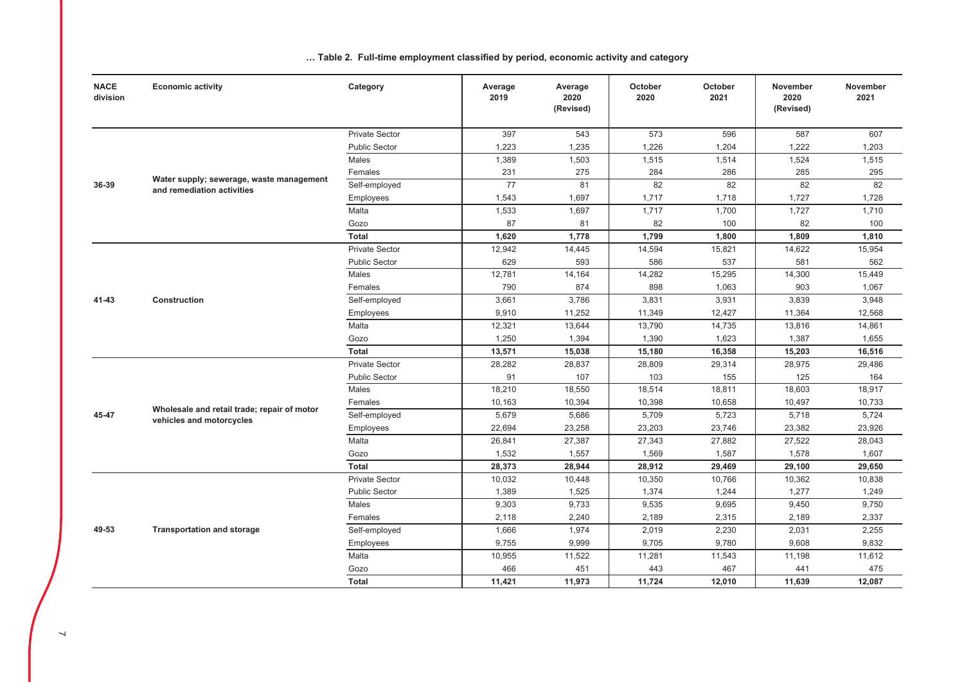| <b>NACE</b><br>division | <b>Economic activity</b>                                               | Category              | Average<br>2019 | Average<br>2020<br>(Revised) | October<br>2020 | October<br>2021 | <b>November</b><br>2020<br>(Revised) | <b>November</b><br>2021 |
|-------------------------|------------------------------------------------------------------------|-----------------------|-----------------|------------------------------|-----------------|-----------------|--------------------------------------|-------------------------|
|                         |                                                                        | <b>Private Sector</b> | 397             | 543                          | 573             | 596             | 587                                  | 607                     |
|                         |                                                                        | <b>Public Sector</b>  | 1,223           | 1,235                        | 1,226           | 1,204           | 1,222                                | 1,203                   |
|                         |                                                                        | Males                 | 1,389           | 1,503                        | 1,515           | 1,514           | 1,524                                | 1,515                   |
|                         |                                                                        | Females               | 231             | 275                          | 284             | 286             | 285                                  | 295                     |
| 36-39                   | Water supply; sewerage, waste management<br>and remediation activities | Self-employed         | 77              | 81                           | 82              | 82              | 82                                   | 82                      |
|                         |                                                                        | Employees             | 1,543           | 1,697                        | 1,717           | 1,718           | 1,727                                | 1,728                   |
|                         |                                                                        | Malta                 | 1,533           | 1,697                        | 1,717           | 1,700           | 1,727                                | 1,710                   |
|                         |                                                                        | Gozo                  | 87              | 81                           | 82              | 100             | 82                                   | 100                     |
|                         |                                                                        | <b>Total</b>          | 1,620           | 1,778                        | 1,799           | 1,800           | 1,809                                | 1,810                   |
|                         |                                                                        | <b>Private Sector</b> | 12,942          | 14,445                       | 14,594          | 15,821          | 14,622                               | 15,954                  |
|                         |                                                                        | <b>Public Sector</b>  | 629             | 593                          | 586             | 537             | 581                                  | 562                     |
|                         |                                                                        | Males                 | 12,781          | 14,164                       | 14,282          | 15,295          | 14,300                               | 15,449                  |
|                         |                                                                        | Females               | 790             | 874                          | 898             | 1,063           | 903                                  | 1,067                   |
| 41-43                   | <b>Construction</b>                                                    | Self-employed         | 3,661           | 3,786                        | 3,831           | 3,931           | 3,839                                | 3,948                   |
|                         |                                                                        | Employees             | 9,910           | 11,252                       | 11,349          | 12,427          | 11,364                               | 12,568                  |
|                         |                                                                        | Malta                 | 12,321          | 13,644                       | 13,790          | 14,735          | 13,816                               | 14,861                  |
|                         |                                                                        | Gozo                  | 1,250           | 1,394                        | 1,390           | 1,623           | 1,387                                | 1,655                   |
|                         |                                                                        | <b>Total</b>          | 13,571          | 15,038                       | 15,180          | 16,358          | 15,203                               | 16,516                  |
|                         |                                                                        | <b>Private Sector</b> | 28,282          | 28,837                       | 28,809          | 29,314          | 28,975                               | 29,486                  |
|                         |                                                                        | <b>Public Sector</b>  | 91              | 107                          | 103             | 155             | 125                                  | 164                     |
|                         |                                                                        | Males                 | 18,210          | 18,550                       | 18,514          | 18,811          | 18,603                               | 18,917                  |
|                         | Wholesale and retail trade; repair of motor                            | Females               | 10,163          | 10,394                       | 10,398          | 10,658          | 10,497                               | 10,733                  |
| 45-47                   | vehicles and motorcycles                                               | Self-employed         | 5,679           | 5,686                        | 5,709           | 5,723           | 5,718                                | 5,724                   |
|                         |                                                                        | Employees             | 22,694          | 23,258                       | 23,203          | 23,746          | 23,382                               | 23,926                  |
|                         |                                                                        | Malta                 | 26,841          | 27,387                       | 27,343          | 27,882          | 27,522                               | 28,043                  |
|                         |                                                                        | Gozo                  | 1,532           | 1,557                        | 1,569           | 1,587           | 1,578                                | 1,607                   |
|                         |                                                                        | <b>Total</b>          | 28,373          | 28,944                       | 28,912          | 29,469          | 29,100                               | 29,650                  |
|                         |                                                                        | <b>Private Sector</b> | 10,032          | 10,448                       | 10,350          | 10,766          | 10,362                               | 10,838                  |
|                         |                                                                        | <b>Public Sector</b>  | 1,389           | 1,525                        | 1,374           | 1,244           | 1,277                                | 1,249                   |
|                         |                                                                        | Males                 | 9,303           | 9,733                        | 9,535           | 9,695           | 9,450                                | 9,750                   |
|                         |                                                                        | Females               | 2,118           | 2,240                        | 2,189           | 2,315           | 2,189                                | 2,337                   |
| 49-53                   | <b>Transportation and storage</b>                                      | Self-employed         | 1,666           | 1,974                        | 2,019           | 2,230           | 2,031                                | 2,255                   |
|                         |                                                                        | Employees             | 9,755           | 9,999                        | 9,705           | 9,780           | 9,608                                | 9,832                   |
|                         |                                                                        | Malta                 | 10,955          | 11,522                       | 11,281          | 11,543          | 11,198                               | 11,612                  |
|                         |                                                                        | Gozo                  | 466             | 451                          | 443             | 467             | 441                                  | 475                     |
|                         |                                                                        | <b>Total</b>          | 11,421          | 11,973                       | 11,724          | 12,010          | 11,639                               | 12,087                  |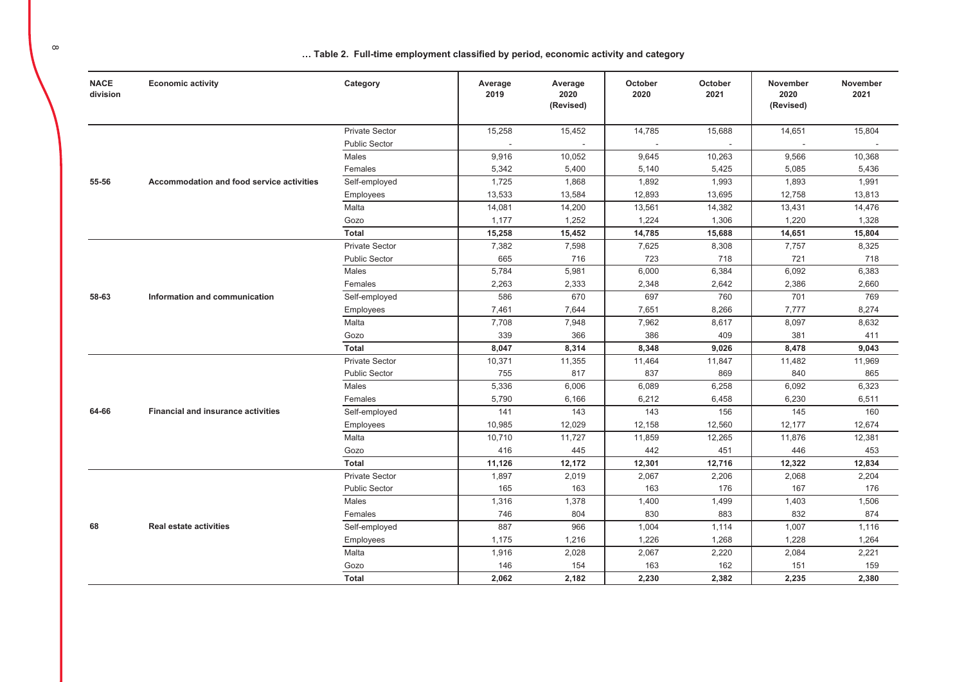| <b>NACE</b><br>division | <b>Economic activity</b>                         | Category              | Average<br>2019 | Average<br>2020<br>(Revised) | October<br>2020 | October<br>2021 | November<br>2020<br>(Revised) | November<br>2021 |
|-------------------------|--------------------------------------------------|-----------------------|-----------------|------------------------------|-----------------|-----------------|-------------------------------|------------------|
|                         |                                                  | <b>Private Sector</b> | 15,258          | 15,452                       | 14,785          | 15,688          | 14,651                        | 15,804           |
|                         |                                                  | <b>Public Sector</b>  |                 |                              |                 |                 |                               |                  |
|                         |                                                  | Males                 | 9,916           | 10,052                       | 9,645           | 10,263          | 9,566                         | 10,368           |
|                         |                                                  | Females               | 5,342           | 5,400                        | 5,140           | 5,425           | 5,085                         | 5,436            |
| 55-56                   | <b>Accommodation and food service activities</b> | Self-employed         | 1,725           | 1,868                        | 1,892           | 1,993           | 1,893                         | 1,991            |
|                         |                                                  | Employees             | 13,533          | 13,584                       | 12,893          | 13,695          | 12,758                        | 13,813           |
|                         |                                                  | Malta                 | 14,081          | 14,200                       | 13,561          | 14,382          | 13,431                        | 14,476           |
|                         |                                                  | Gozo                  | 1,177           | 1,252                        | 1,224           | 1,306           | 1,220                         | 1,328            |
|                         |                                                  | <b>Total</b>          | 15,258          | 15,452                       | 14,785          | 15,688          | 14,651                        | 15,804           |
|                         |                                                  | <b>Private Sector</b> | 7,382           | 7,598                        | 7,625           | 8,308           | 7,757                         | 8,325            |
|                         |                                                  | <b>Public Sector</b>  | 665             | 716                          | 723             | 718             | 721                           | 718              |
|                         |                                                  | Males                 | 5,784           | 5,981                        | 6,000           | 6,384           | 6,092                         | 6,383            |
|                         |                                                  | Females               | 2,263           | 2,333                        | 2,348           | 2,642           | 2,386                         | 2,660            |
| 58-63                   | Information and communication                    | Self-employed         | 586             | 670                          | 697             | 760             | 701                           | 769              |
|                         |                                                  | Employees             | 7,461           | 7,644                        | 7,651           | 8,266           | 7,777                         | 8,274            |
|                         |                                                  | Malta                 | 7,708           | 7,948                        | 7,962           | 8,617           | 8,097                         | 8,632            |
|                         |                                                  | Gozo                  | 339             | 366                          | 386             | 409             | 381                           | 411              |
|                         |                                                  | <b>Total</b>          | 8,047           | 8,314                        | 8,348           | 9,026           | 8,478                         | 9,043            |
|                         |                                                  | <b>Private Sector</b> | 10,371          | 11,355                       | 11,464          | 11,847          | 11,482                        | 11,969           |
|                         |                                                  | <b>Public Sector</b>  | 755             | 817                          | 837             | 869             | 840                           | 865              |
|                         |                                                  | Males                 | 5,336           | 6,006                        | 6,089           | 6,258           | 6,092                         | 6,323            |
|                         |                                                  | Females               | 5,790           | 6,166                        | 6,212           | 6,458           | 6,230                         | 6,511            |
| 64-66                   | <b>Financial and insurance activities</b>        | Self-employed         | 141             | 143                          | 143             | 156             | 145                           | 160              |
|                         |                                                  | Employees             | 10,985          | 12,029                       | 12,158          | 12,560          | 12,177                        | 12,674           |
|                         |                                                  | Malta                 | 10,710          | 11,727                       | 11,859          | 12,265          | 11,876                        | 12,381           |
|                         |                                                  | Gozo                  | 416             | 445                          | 442             | 451             | 446                           | 453              |
|                         |                                                  | <b>Total</b>          | 11,126          | 12,172                       | 12,301          | 12,716          | 12,322                        | 12,834           |
|                         |                                                  | <b>Private Sector</b> | 1,897           | 2,019                        | 2,067           | 2,206           | 2,068                         | 2,204            |
|                         |                                                  | <b>Public Sector</b>  | 165             | 163                          | 163             | 176             | 167                           | 176              |
|                         |                                                  | Males                 | 1,316           | 1,378                        | 1,400           | 1,499           | 1,403                         | 1,506            |
|                         |                                                  | Females               | 746             | 804                          | 830             | 883             | 832                           | 874              |
| 68                      | <b>Real estate activities</b>                    | Self-employed         | 887             | 966                          | 1,004           | 1,114           | 1,007                         | 1,116            |
|                         |                                                  | Employees             | 1,175           | 1,216                        | 1,226           | 1,268           | 1,228                         | 1,264            |
|                         |                                                  | Malta                 | 1,916           | 2,028                        | 2,067           | 2,220           | 2,084                         | 2,221            |
|                         |                                                  | Gozo                  | 146             | 154                          | 163             | 162             | 151                           | 159              |
|                         |                                                  | <b>Total</b>          | 2,062           | 2,182                        | 2.230           | 2,382           | 2.235                         | 2,380            |

 $\infty$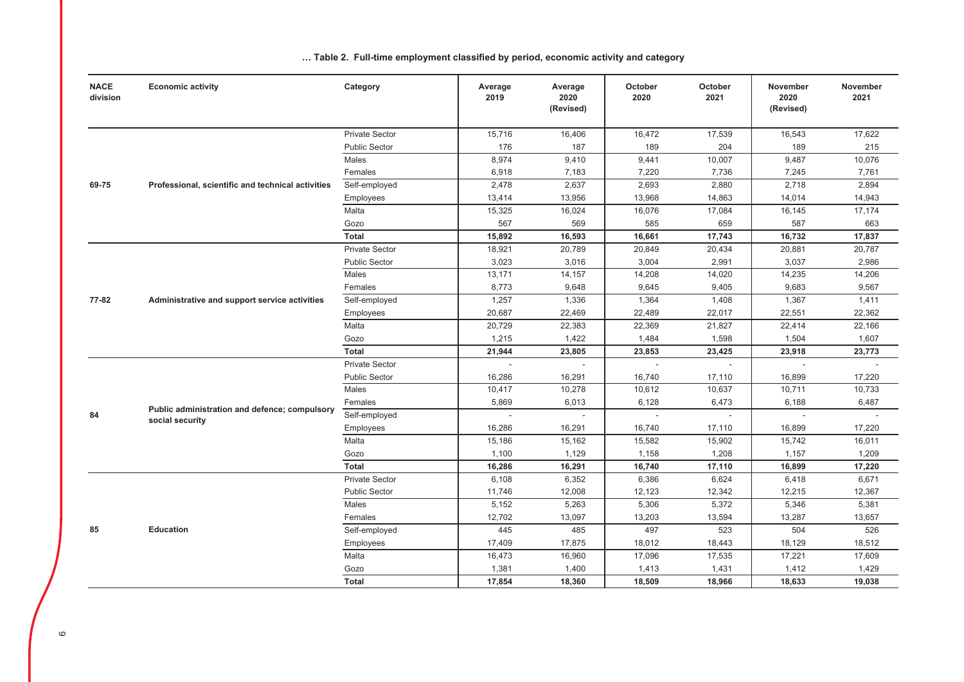| <b>NACE</b><br>division | <b>Economic activity</b>                          | Category              | Average<br>2019          | Average<br>2020<br>(Revised) | October<br>2020 | October<br>2021 | <b>November</b><br>2020<br>(Revised) | November<br>2021 |
|-------------------------|---------------------------------------------------|-----------------------|--------------------------|------------------------------|-----------------|-----------------|--------------------------------------|------------------|
|                         |                                                   | <b>Private Sector</b> | 15,716                   | 16,406                       | 16,472          | 17,539          | 16,543                               | 17,622           |
|                         |                                                   | <b>Public Sector</b>  | 176                      | 187                          | 189             | 204             | 189                                  | 215              |
|                         |                                                   | Males                 | 8,974                    | 9,410                        | 9,441           | 10,007          | 9,487                                | 10,076           |
|                         |                                                   | Females               | 6,918                    | 7,183                        | 7,220           | 7,736           | 7,245                                | 7,761            |
| 69-75                   | Professional, scientific and technical activities | Self-employed         | 2,478                    | 2,637                        | 2,693           | 2,880           | 2,718                                | 2,894            |
|                         |                                                   | Employees             | 13,414                   | 13,956                       | 13,968          | 14,863          | 14,014                               | 14,943           |
|                         |                                                   | Malta                 | 15,325                   | 16,024                       | 16,076          | 17,084          | 16,145                               | 17,174           |
|                         |                                                   | Gozo                  | 567                      | 569                          | 585             | 659             | 587                                  | 663              |
|                         |                                                   | <b>Total</b>          | 15,892                   | 16,593                       | 16,661          | 17,743          | 16,732                               | 17,837           |
|                         |                                                   | <b>Private Sector</b> | 18,921                   | 20,789                       | 20,849          | 20,434          | 20,881                               | 20,787           |
|                         |                                                   | <b>Public Sector</b>  | 3,023                    | 3,016                        | 3,004           | 2,991           | 3,037                                | 2,986            |
|                         |                                                   | Males                 | 13,171                   | 14,157                       | 14,208          | 14,020          | 14,235                               | 14,206           |
|                         |                                                   | Females               | 8,773                    | 9,648                        | 9,645           | 9,405           | 9,683                                | 9,567            |
| 77-82                   | Administrative and support service activities     | Self-employed         | 1,257                    | 1,336                        | 1,364           | 1,408           | 1,367                                | 1,411            |
|                         |                                                   | Employees             | 20,687                   | 22,469                       | 22,489          | 22,017          | 22,551                               | 22,362           |
|                         |                                                   | Malta                 | 20,729                   | 22,383                       | 22,369          | 21,827          | 22,414                               | 22,166           |
|                         |                                                   | Gozo                  | 1,215                    | 1,422                        | 1,484           | 1,598           | 1,504                                | 1,607            |
|                         |                                                   | <b>Total</b>          | 21,944                   | 23,805                       | 23,853          | 23,425          | 23,918                               | 23,773           |
|                         |                                                   | <b>Private Sector</b> | ÷,                       | $\sim$                       |                 | $\sim$          |                                      |                  |
|                         |                                                   | <b>Public Sector</b>  | 16,286                   | 16,291                       | 16,740          | 17,110          | 16,899                               | 17,220           |
|                         |                                                   | Males                 | 10,417                   | 10,278                       | 10,612          | 10,637          | 10,711                               | 10,733           |
|                         | Public administration and defence; compulsory     | Females               | 5,869                    | 6,013                        | 6,128           | 6,473           | 6,188                                | 6,487            |
| 84                      | social security                                   | Self-employed         | $\overline{\phantom{a}}$ |                              |                 | $\sim$          |                                      |                  |
|                         |                                                   | Employees             | 16,286                   | 16,291                       | 16,740          | 17,110          | 16,899                               | 17,220           |
|                         |                                                   | Malta                 | 15,186                   | 15,162                       | 15,582          | 15,902          | 15,742                               | 16,011           |
|                         |                                                   | Gozo                  | 1,100                    | 1,129                        | 1,158           | 1,208           | 1,157                                | 1,209            |
|                         |                                                   | <b>Total</b>          | 16,286                   | 16,291                       | 16,740          | 17,110          | 16,899                               | 17,220           |
|                         |                                                   | <b>Private Sector</b> | 6,108                    | 6,352                        | 6,386           | 6,624           | 6,418                                | 6,671            |
|                         |                                                   | <b>Public Sector</b>  | 11,746                   | 12,008                       | 12,123          | 12,342          | 12,215                               | 12,367           |
|                         |                                                   | Males                 | 5,152                    | 5,263                        | 5,306           | 5,372           | 5,346                                | 5,381            |
|                         |                                                   | Females               | 12,702                   | 13,097                       | 13,203          | 13,594          | 13,287                               | 13,657           |
| 85                      | <b>Education</b>                                  | Self-employed         | 445                      | 485                          | 497             | 523             | 504                                  | 526              |
|                         |                                                   | Employees             | 17,409                   | 17,875                       | 18,012          | 18,443          | 18,129                               | 18,512           |
|                         |                                                   | Malta                 | 16,473                   | 16,960                       | 17,096          | 17,535          | 17,221                               | 17,609           |
|                         |                                                   | Gozo                  | 1,381                    | 1,400                        | 1,413           | 1,431           | 1,412                                | 1,429            |
|                         |                                                   | Total                 | 17,854                   | 18,360                       | 18,509          | 18,966          | 18,633                               | 19,038           |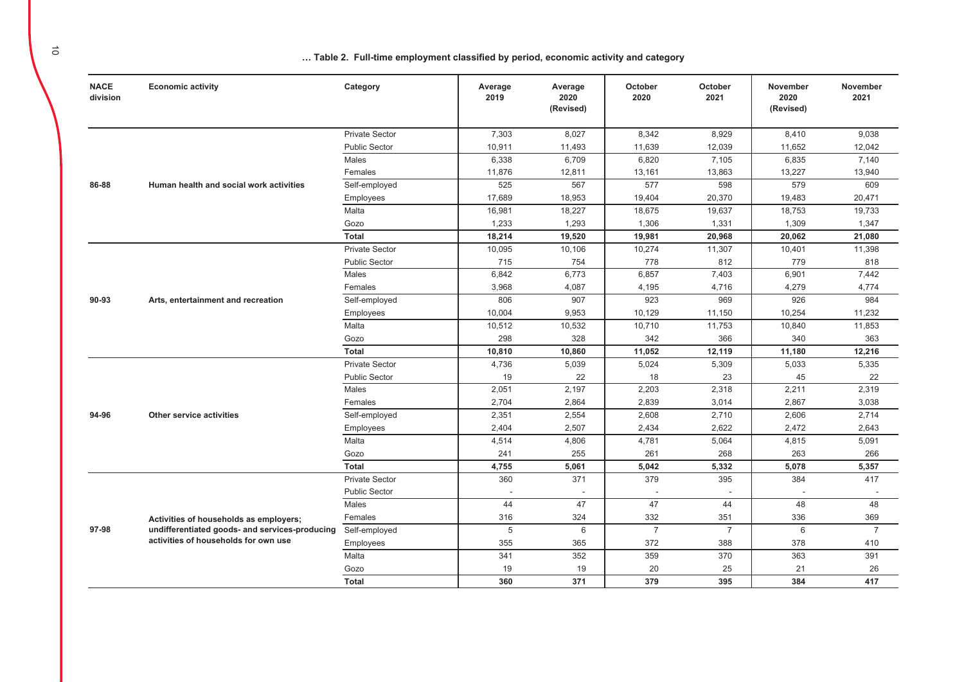| <b>NACE</b><br>division | <b>Economic activity</b>                       | Category              | Average<br>2019 | Average<br>2020<br>(Revised) | October<br>2020 | October<br>2021 | November<br>2020<br>(Revised) | November<br>2021 |
|-------------------------|------------------------------------------------|-----------------------|-----------------|------------------------------|-----------------|-----------------|-------------------------------|------------------|
|                         |                                                | <b>Private Sector</b> | 7.303           | 8.027                        | 8.342           | 8,929           | 8,410                         | 9.038            |
|                         |                                                | <b>Public Sector</b>  | 10,911          | 11,493                       | 11.639          | 12,039          | 11,652                        | 12.042           |
|                         |                                                | Males                 | 6,338           | 6,709                        | 6,820           | 7,105           | 6,835                         | 7,140            |
|                         |                                                | Females               | 11,876          | 12,811                       | 13,161          | 13,863          | 13,227                        | 13,940           |
| 86-88                   | Human health and social work activities        | Self-employed         | 525             | 567                          | 577             | 598             | 579                           | 609              |
|                         |                                                | Employees             | 17.689          | 18,953                       | 19,404          | 20,370          | 19,483                        | 20,471           |
|                         |                                                | Malta                 | 16,981          | 18,227                       | 18,675          | 19,637          | 18,753                        | 19,733           |
|                         |                                                | Gozo                  | 1,233           | 1,293                        | 1,306           | 1,331           | 1,309                         | 1,347            |
|                         |                                                | <b>Total</b>          | 18,214          | 19,520                       | 19,981          | 20,968          | 20,062                        | 21,080           |
|                         |                                                | <b>Private Sector</b> | 10,095          | 10,106                       | 10,274          | 11,307          | 10,401                        | 11,398           |
|                         |                                                | <b>Public Sector</b>  | 715             | 754                          | 778             | 812             | 779                           | 818              |
|                         |                                                | Males                 | 6,842           | 6,773                        | 6,857           | 7,403           | 6,901                         | 7,442            |
|                         |                                                | Females               | 3,968           | 4,087                        | 4,195           | 4,716           | 4,279                         | 4,774            |
| 90-93                   | Arts, entertainment and recreation             | Self-employed         | 806             | 907                          | 923             | 969             | 926                           | 984              |
|                         |                                                | Employees             | 10,004          | 9,953                        | 10,129          | 11,150          | 10,254                        | 11,232           |
|                         |                                                | Malta                 | 10,512          | 10,532                       | 10,710          | 11,753          | 10,840                        | 11,853           |
|                         |                                                | Gozo                  | 298             | 328                          | 342             | 366             | 340                           | 363              |
|                         |                                                | <b>Total</b>          | 10,810          | 10,860                       | 11,052          | 12,119          | 11,180                        | 12,216           |
|                         |                                                | <b>Private Sector</b> | 4,736           | 5,039                        | 5,024           | 5,309           | 5,033                         | 5,335            |
|                         |                                                | <b>Public Sector</b>  | 19              | 22                           | 18              | 23              | 45                            | 22               |
|                         |                                                | Males                 | 2,051           | 2,197                        | 2,203           | 2,318           | 2,211                         | 2,319            |
|                         |                                                | Females               | 2,704           | 2,864                        | 2,839           | 3,014           | 2,867                         | 3,038            |
| 94-96                   | Other service activities                       | Self-employed         | 2,351           | 2,554                        | 2,608           | 2,710           | 2,606                         | 2,714            |
|                         |                                                | Employees             | 2,404           | 2,507                        | 2,434           | 2,622           | 2,472                         | 2,643            |
|                         |                                                | Malta                 | 4,514           | 4,806                        | 4,781           | 5,064           | 4,815                         | 5,091            |
|                         |                                                | Gozo                  | 241             | 255                          | 261             | 268             | 263                           | 266              |
|                         |                                                | <b>Total</b>          | 4,755           | 5,061                        | 5,042           | 5,332           | 5,078                         | 5,357            |
|                         |                                                | <b>Private Sector</b> | 360             | 371                          | 379             | 395             | 384                           | 417              |
|                         |                                                | <b>Public Sector</b>  | $\blacksquare$  |                              |                 |                 |                               |                  |
|                         |                                                | Males                 | 44              | 47                           | 47              | 44              | 48                            | 48               |
|                         | Activities of households as employers;         | Females               | 316             | 324                          | 332             | 351             | 336                           | 369              |
| 97-98                   | undifferentiated goods- and services-producing | Self-employed         | 5               | 6                            | $\overline{7}$  | $\overline{7}$  | 6                             | $\overline{7}$   |
|                         | activities of households for own use           | Employees             | 355             | 365                          | 372             | 388             | 378                           | 410              |
|                         |                                                | Malta                 | 341             | 352                          | 359             | 370             | 363                           | 391              |
|                         |                                                | Gozo                  | 19              | 19                           | 20              | 25              | 21                            | 26               |
|                         |                                                | <b>Total</b>          | 360             | 371                          | 379             | 395             | 384                           | 417              |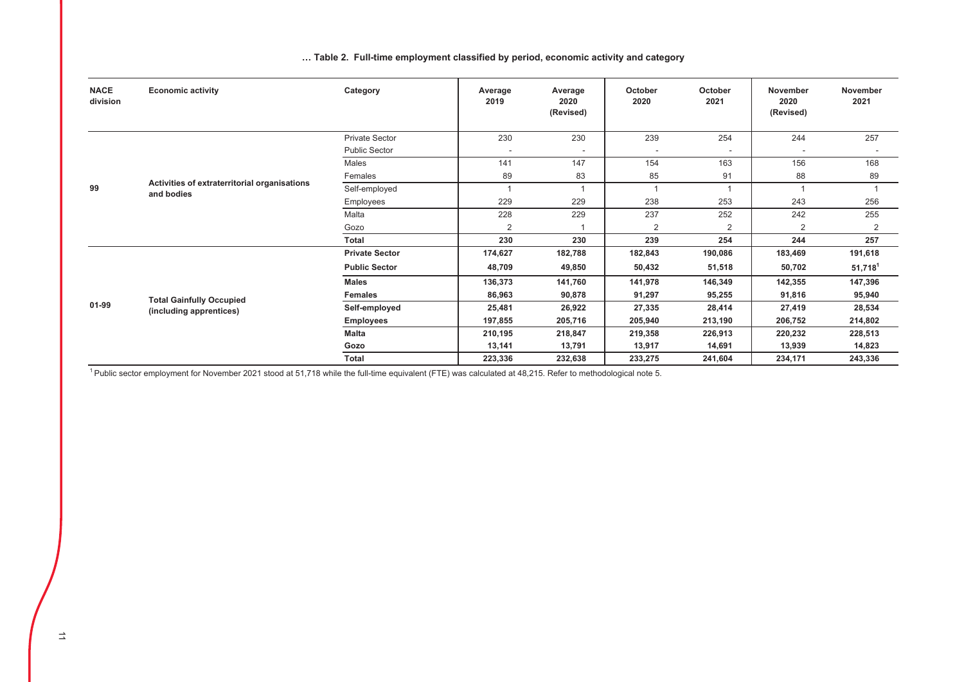| <b>NACE</b><br>division | <b>Economic activity</b>                                   | Category              | Average<br>2019          | Average<br>2020<br>(Revised) | October<br>2020 | October<br>2021          | <b>November</b><br>2020<br>(Revised) | <b>November</b><br>2021 |
|-------------------------|------------------------------------------------------------|-----------------------|--------------------------|------------------------------|-----------------|--------------------------|--------------------------------------|-------------------------|
|                         |                                                            | Private Sector        | 230                      | 230                          | 239             | 254                      | 244                                  | 257                     |
|                         |                                                            | <b>Public Sector</b>  | $\overline{\phantom{a}}$ | ۰                            |                 | $\overline{\phantom{a}}$ |                                      |                         |
|                         |                                                            | Males                 | 141                      | 147                          | 154             | 163                      | 156                                  | 168                     |
|                         |                                                            | Females               | 89                       | 83                           | 85              | 91                       | 88                                   | 89                      |
| 99                      | Activities of extraterritorial organisations<br>and bodies | Self-employed         |                          | $\overline{1}$               | $\overline{1}$  | $\overline{A}$           |                                      |                         |
|                         |                                                            | Employees             | 229                      | 229                          | 238             | 253                      | 243                                  | 256                     |
|                         |                                                            | Malta                 | 228                      | 229                          | 237             | 252                      | 242                                  | 255                     |
|                         |                                                            | Gozo                  | $\overline{2}$           |                              | $\overline{2}$  | 2                        | $\overline{2}$                       | 2                       |
|                         |                                                            | <b>Total</b>          | 230                      | 230                          | 239             | 254                      | 244                                  | 257                     |
|                         |                                                            | <b>Private Sector</b> | 174,627                  | 182,788                      | 182,843         | 190,086                  | 183,469                              | 191,618                 |
|                         |                                                            | <b>Public Sector</b>  | 48,709                   | 49,850                       | 50,432          | 51,518                   | 50,702                               | $51,718^1$              |
|                         |                                                            | <b>Males</b>          | 136,373                  | 141,760                      | 141,978         | 146,349                  | 142,355                              | 147,396                 |
|                         | <b>Total Gainfully Occupied</b>                            | <b>Females</b>        | 86,963                   | 90,878                       | 91,297          | 95,255                   | 91,816                               | 95,940                  |
| 01-99                   | (including apprentices)                                    | Self-employed         | 25,481                   | 26,922                       | 27,335          | 28,414                   | 27,419                               | 28,534                  |
|                         |                                                            | <b>Employees</b>      | 197,855                  | 205,716                      | 205,940         | 213,190                  | 206,752                              | 214,802                 |
|                         |                                                            | <b>Malta</b>          | 210,195                  | 218,847                      | 219,358         | 226,913                  | 220,232                              | 228,513                 |
|                         |                                                            | Gozo                  | 13,141                   | 13,791                       | 13,917          | 14,691                   | 13,939                               | 14,823                  |
|                         |                                                            | Total                 | 223,336                  | 232,638                      | 233,275         | 241,604                  | 234,171                              | 243,336                 |

<sup>1</sup> Public sector employment for November 2021 stood at 51,718 while the full-time equivalent (FTE) was calculated at 48,215. Refer to methodological note 5.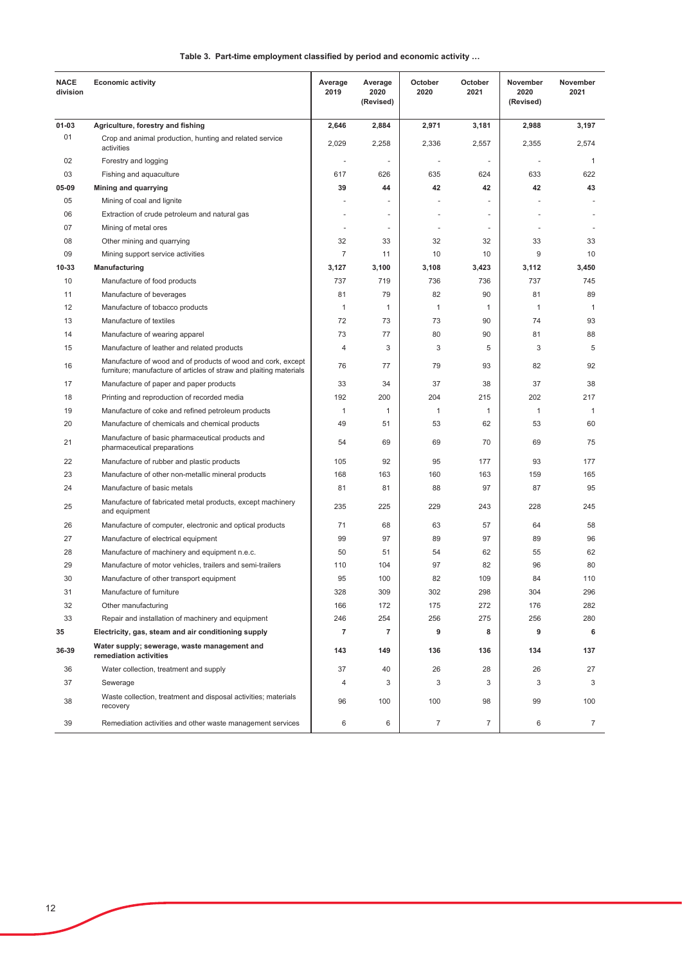|  | Table 3. Part-time employment classified by period and economic activity |  |  |
|--|--------------------------------------------------------------------------|--|--|
|--|--------------------------------------------------------------------------|--|--|

| <b>NACE</b><br>division | <b>Economic activity</b>                                                                                                           | Average<br>2019          | Average<br>2020<br>(Revised) | October<br>2020 | October<br>2021 | November<br>2020<br>(Revised) | November<br>2021 |
|-------------------------|------------------------------------------------------------------------------------------------------------------------------------|--------------------------|------------------------------|-----------------|-----------------|-------------------------------|------------------|
| 01-03                   | Agriculture, forestry and fishing                                                                                                  | 2,646                    | 2,884                        | 2,971           | 3,181           | 2,988                         | 3,197            |
| 01                      | Crop and animal production, hunting and related service<br>activities                                                              | 2,029                    | 2,258                        | 2,336           | 2,557           | 2,355                         | 2,574            |
| 02                      | Forestry and logging                                                                                                               | $\overline{\phantom{a}}$ | $\sim$                       |                 |                 |                               | $\mathbf{1}$     |
| 03                      | Fishing and aquaculture                                                                                                            | 617                      | 626                          | 635             | 624             | 633                           | 622              |
| 05-09                   | Mining and quarrying                                                                                                               | 39                       | 44                           | 42              | 42              | 42                            | 43               |
| 05                      | Mining of coal and lignite                                                                                                         |                          | $\overline{a}$               |                 |                 |                               |                  |
| 06                      | Extraction of crude petroleum and natural gas                                                                                      |                          | $\blacksquare$               |                 | $\overline{a}$  |                               |                  |
| 07                      | Mining of metal ores                                                                                                               | $\blacksquare$           | $\sim$                       |                 | $\blacksquare$  |                               |                  |
| 08                      | Other mining and quarrying                                                                                                         | 32                       | 33                           | 32              | 32              | 33                            | 33               |
| 09                      | Mining support service activities                                                                                                  | 7                        | 11                           | 10              | 10              | 9                             | 10               |
| 10-33                   | Manufacturing                                                                                                                      | 3,127                    | 3,100                        | 3,108           | 3,423           | 3,112                         | 3,450            |
| 10                      | Manufacture of food products                                                                                                       | 737                      | 719                          | 736             | 736             | 737                           | 745              |
| 11                      | Manufacture of beverages                                                                                                           | 81                       | 79                           | 82              | 90              | 81                            | 89               |
| 12                      | Manufacture of tobacco products                                                                                                    | 1                        | $\mathbf{1}$                 | $\mathbf{1}$    | $\mathbf 1$     | $\mathbf{1}$                  | $\mathbf{1}$     |
| 13                      | Manufacture of textiles                                                                                                            | 72                       | 73                           | 73              | 90              | 74                            | 93               |
| 14                      | Manufacture of wearing apparel                                                                                                     | 73                       | 77                           | 80              | 90              | 81                            | 88               |
| 15                      | Manufacture of leather and related products                                                                                        | $\overline{4}$           | 3                            | 3               | 5               | 3                             | 5                |
| 16                      | Manufacture of wood and of products of wood and cork, except<br>furniture; manufacture of articles of straw and plaiting materials | 76                       | 77                           | 79              | 93              | 82                            | 92               |
| 17                      | Manufacture of paper and paper products                                                                                            | 33                       | 34                           | 37              | 38              | 37                            | 38               |
| 18                      | Printing and reproduction of recorded media                                                                                        | 192                      | 200                          | 204             | 215             | 202                           | 217              |
| 19                      | Manufacture of coke and refined petroleum products                                                                                 | $\mathbf{1}$             | $\mathbf{1}$                 | $\mathbf{1}$    | 1               | $\mathbf{1}$                  | $\mathbf{1}$     |
| 20                      | Manufacture of chemicals and chemical products                                                                                     | 49                       | 51                           | 53              | 62              | 53                            | 60               |
| 21                      | Manufacture of basic pharmaceutical products and<br>pharmaceutical preparations                                                    | 54                       | 69                           | 69              | 70              | 69                            | 75               |
| 22                      | Manufacture of rubber and plastic products                                                                                         | 105                      | 92                           | 95              | 177             | 93                            | 177              |
| 23                      | Manufacture of other non-metallic mineral products                                                                                 | 168                      | 163                          | 160             | 163             | 159                           | 165              |
| 24                      | Manufacture of basic metals                                                                                                        | 81                       | 81                           | 88              | 97              | 87                            | 95               |
| 25                      | Manufacture of fabricated metal products, except machinery<br>and equipment                                                        | 235                      | 225                          | 229             | 243             | 228                           | 245              |
| 26                      | Manufacture of computer, electronic and optical products                                                                           | 71                       | 68                           | 63              | 57              | 64                            | 58               |
| 27                      | Manufacture of electrical equipment                                                                                                | 99                       | 97                           | 89              | 97              | 89                            | 96               |
| 28                      | Manufacture of machinery and equipment n.e.c.                                                                                      | 50                       | 51                           | 54              | 62              | 55                            | 62               |
| 29                      | Manufacture of motor vehicles, trailers and semi-trailers                                                                          | 110                      | 104                          | 97              | 82              | 96                            | 80               |
| 30                      | Manufacture of other transport equipment                                                                                           | 95                       | 100                          | 82              | 109             | 84                            | 110              |
| 31                      | Manufacture of furniture                                                                                                           | 328                      | 309                          | 302             | 298             | 304                           | 296              |
| 32                      | Other manufacturing                                                                                                                | 166                      | 172                          | 175             | 272             | 176                           | 282              |
| 33                      | Repair and installation of machinery and equipment                                                                                 | 246                      | 254                          | 256             | 275             | 256                           | 280              |
| 35                      | Electricity, gas, steam and air conditioning supply                                                                                | 7                        | 7                            | 9               | 8               | 9                             | 6                |
| 36-39                   | Water supply; sewerage, waste management and<br>remediation activities                                                             | 143                      | 149                          | 136             | 136             | 134                           | 137              |
| 36                      | Water collection, treatment and supply                                                                                             | 37                       | 40                           | 26              | 28              | 26                            | 27               |
| 37                      | Sewerage                                                                                                                           | 4                        | 3                            | 3               | 3               | 3                             | 3                |
| 38                      | Waste collection, treatment and disposal activities; materials<br>recovery                                                         | 96                       | 100                          | 100             | 98              | 99                            | 100              |
| 39                      | Remediation activities and other waste management services                                                                         | 6                        | 6                            | $\overline{7}$  | 7               | 6                             | 7                |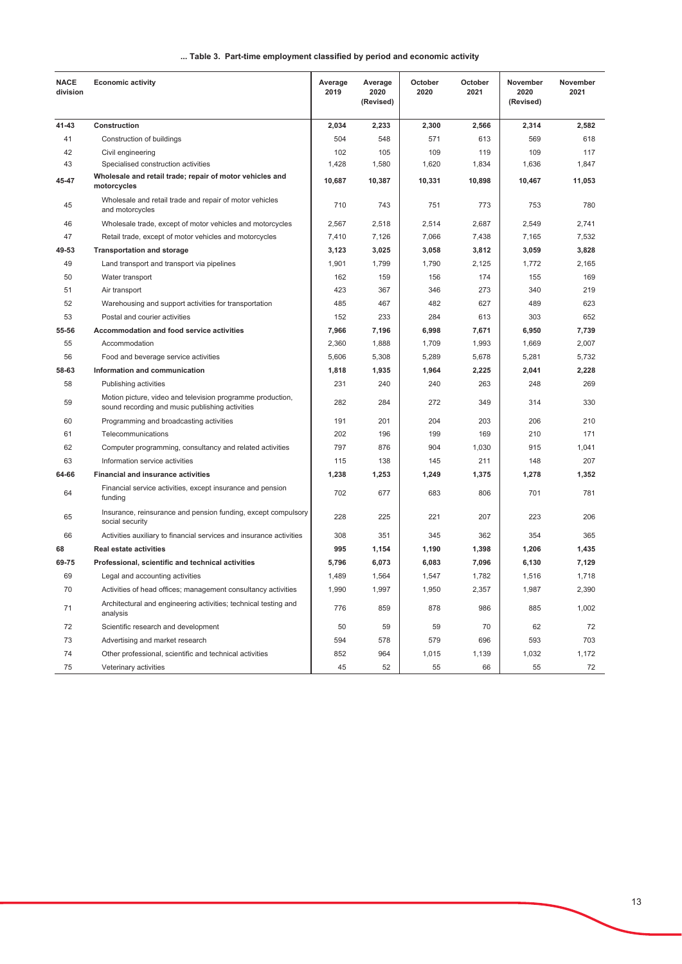#### ... Table 3. Part-time employment classified by period and economic activity

| <b>NACE</b><br>division | <b>Economic activity</b>                                                                                      | Average<br>2019 | Average<br>2020<br>(Revised) | October<br>2020 | October<br>2021 | November<br>2020<br>(Revised) | November<br>2021 |
|-------------------------|---------------------------------------------------------------------------------------------------------------|-----------------|------------------------------|-----------------|-----------------|-------------------------------|------------------|
| 41-43                   | Construction                                                                                                  | 2,034           | 2,233                        | 2,300           | 2,566           | 2,314                         | 2,582            |
| 41                      | Construction of buildings                                                                                     | 504             | 548                          | 571             | 613             | 569                           | 618              |
| 42                      | Civil engineering                                                                                             | 102             | 105                          | 109             | 119             | 109                           | 117              |
| 43                      | Specialised construction activities                                                                           | 1,428           | 1,580                        | 1,620           | 1,834           | 1,636                         | 1,847            |
| 45-47                   | Wholesale and retail trade; repair of motor vehicles and<br>motorcycles                                       | 10,687          | 10,387                       | 10,331          | 10,898          | 10,467                        | 11,053           |
| 45                      | Wholesale and retail trade and repair of motor vehicles<br>and motorcycles                                    | 710             | 743                          | 751             | 773             | 753                           | 780              |
| 46                      | Wholesale trade, except of motor vehicles and motorcycles                                                     | 2,567           | 2,518                        | 2,514           | 2,687           | 2,549                         | 2,741            |
| 47                      | Retail trade, except of motor vehicles and motorcycles                                                        | 7,410           | 7,126                        | 7,066           | 7,438           | 7,165                         | 7,532            |
| 49-53                   | <b>Transportation and storage</b>                                                                             | 3,123           | 3,025                        | 3,058           | 3,812           | 3,059                         | 3,828            |
| 49                      | Land transport and transport via pipelines                                                                    | 1,901           | 1,799                        | 1,790           | 2,125           | 1,772                         | 2,165            |
| 50                      | Water transport                                                                                               | 162             | 159                          | 156             | 174             | 155                           | 169              |
| 51                      | Air transport                                                                                                 | 423             | 367                          | 346             | 273             | 340                           | 219              |
| 52                      | Warehousing and support activities for transportation                                                         | 485             | 467                          | 482             | 627             | 489                           | 623              |
| 53                      | Postal and courier activities                                                                                 | 152             | 233                          | 284             | 613             | 303                           | 652              |
| 55-56                   | <b>Accommodation and food service activities</b>                                                              | 7,966           | 7,196                        | 6,998           | 7,671           | 6,950                         | 7,739            |
| 55                      | Accommodation                                                                                                 | 2,360           | 1,888                        | 1,709           | 1,993           | 1,669                         | 2,007            |
| 56                      | Food and beverage service activities                                                                          | 5,606           | 5,308                        | 5,289           | 5,678           | 5,281                         | 5,732            |
| 58-63                   | Information and communication                                                                                 | 1,818           | 1,935                        | 1,964           | 2,225           | 2,041                         | 2,228            |
| 58                      | Publishing activities                                                                                         | 231             | 240                          | 240             | 263             | 248                           | 269              |
| 59                      | Motion picture, video and television programme production,<br>sound recording and music publishing activities | 282             | 284                          | 272             | 349             | 314                           | 330              |
| 60                      | Programming and broadcasting activities                                                                       | 191             | 201                          | 204             | 203             | 206                           | 210              |
| 61                      | Telecommunications                                                                                            | 202             | 196                          | 199             | 169             | 210                           | 171              |
| 62                      | Computer programming, consultancy and related activities                                                      | 797             | 876                          | 904             | 1,030           | 915                           | 1,041            |
| 63                      | Information service activities                                                                                | 115             | 138                          | 145             | 211             | 148                           | 207              |
| 64-66                   | <b>Financial and insurance activities</b>                                                                     | 1,238           | 1,253                        | 1,249           | 1,375           | 1,278                         | 1,352            |
| 64                      | Financial service activities, except insurance and pension<br>funding                                         | 702             | 677                          | 683             | 806             | 701                           | 781              |
| 65                      | Insurance, reinsurance and pension funding, except compulsory<br>social security                              | 228             | 225                          | 221             | 207             | 223                           | 206              |
| 66                      | Activities auxiliary to financial services and insurance activities                                           | 308             | 351                          | 345             | 362             | 354                           | 365              |
| 68                      | <b>Real estate activities</b>                                                                                 | 995             | 1,154                        | 1,190           | 1,398           | 1,206                         | 1,435            |
| 69-75                   | Professional, scientific and technical activities                                                             | 5,796           | 6,073                        | 6,083           | 7,096           | 6,130                         | 7,129            |
| 69                      | Legal and accounting activities                                                                               | 1,489           | 1,564                        | 1,547           | 1,782           | 1,516                         | 1,718            |
| 70                      | Activities of head offices; management consultancy activities                                                 | 1,990           | 1,997                        | 1,950           | 2,357           | 1,987                         | 2,390            |
| 71                      | Architectural and engineering activities; technical testing and<br>analysis                                   | 776             | 859                          | 878             | 986             | 885                           | 1,002            |
| 72                      | Scientific research and development                                                                           | 50              | 59                           | 59              | 70              | 62                            | 72               |
| 73                      | Advertising and market research                                                                               | 594             | 578                          | 579             | 696             | 593                           | 703              |
| 74                      | Other professional, scientific and technical activities                                                       | 852             | 964                          | 1,015           | 1,139           | 1,032                         | 1,172            |
| 75                      | Veterinary activities                                                                                         | 45              | 52                           | 55              | 66              | 55                            | 72               |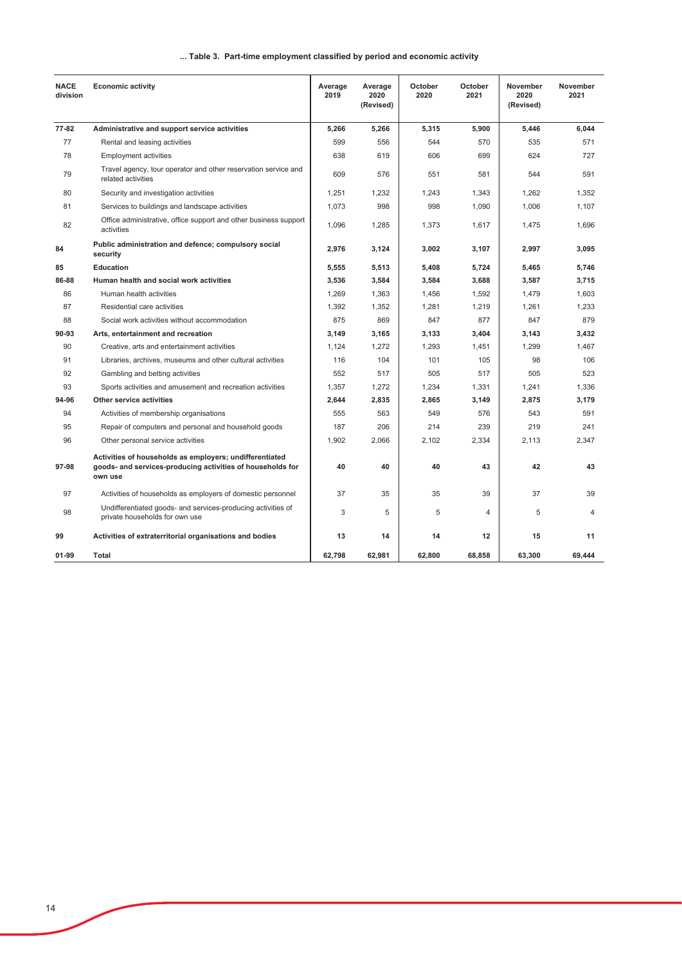#### ... Table 3. Part-time employment classified by period and economic activity

| <b>NACE</b><br>division | <b>Economic activity</b>                                                                                                         | Average<br>2019 | Average<br>2020<br>(Revised) | October<br>2020 | October<br>2021 | November<br>2020<br>(Revised) | November<br>2021 |
|-------------------------|----------------------------------------------------------------------------------------------------------------------------------|-----------------|------------------------------|-----------------|-----------------|-------------------------------|------------------|
| 77-82                   | Administrative and support service activities                                                                                    | 5,266           | 5,266                        | 5,315           | 5,900           | 5,446                         | 6,044            |
| 77                      | Rental and leasing activities                                                                                                    | 599             | 556                          | 544             | 570             | 535                           | 571              |
| 78                      | <b>Employment activities</b>                                                                                                     | 638             | 619                          | 606             | 699             | 624                           | 727              |
| 79                      | Travel agency, tour operator and other reservation service and<br>related activities                                             | 609             | 576                          | 551             | 581             | 544                           | 591              |
| 80                      | Security and investigation activities                                                                                            | 1,251           | 1,232                        | 1,243           | 1,343           | 1,262                         | 1,352            |
| 81                      | Services to buildings and landscape activities                                                                                   | 1,073           | 998                          | 998             | 1,090           | 1,006                         | 1,107            |
| 82                      | Office administrative, office support and other business support<br>activities                                                   | 1,096           | 1,285                        | 1,373           | 1,617           | 1,475                         | 1,696            |
| 84                      | Public administration and defence; compulsory social<br>security                                                                 | 2,976           | 3,124                        | 3,002           | 3,107           | 2,997                         | 3,095            |
| 85                      | <b>Education</b>                                                                                                                 | 5,555           | 5,513                        | 5,408           | 5,724           | 5.465                         | 5.746            |
| 86-88                   | Human health and social work activities                                                                                          | 3,536           | 3,584                        | 3,584           | 3,688           | 3,587                         | 3,715            |
| 86                      | Human health activities                                                                                                          | 1,269           | 1,363                        | 1,456           | 1,592           | 1,479                         | 1,603            |
| 87                      | Residential care activities                                                                                                      | 1,392           | 1,352                        | 1,281           | 1,219           | 1,261                         | 1,233            |
| 88                      | Social work activities without accommodation                                                                                     | 875             | 869                          | 847             | 877             | 847                           | 879              |
| 90-93                   | Arts, entertainment and recreation                                                                                               | 3,149           | 3,165                        | 3,133           | 3,404           | 3,143                         | 3.432            |
| 90                      | Creative, arts and entertainment activities                                                                                      | 1,124           | 1,272                        | 1,293           | 1,451           | 1,299                         | 1,467            |
| 91                      | Libraries, archives, museums and other cultural activities                                                                       | 116             | 104                          | 101             | 105             | 98                            | 106              |
| 92                      | Gambling and betting activities                                                                                                  | 552             | 517                          | 505             | 517             | 505                           | 523              |
| 93                      | Sports activities and amusement and recreation activities                                                                        | 1,357           | 1,272                        | 1,234           | 1,331           | 1,241                         | 1,336            |
| 94-96                   | Other service activities                                                                                                         | 2,644           | 2,835                        | 2,865           | 3,149           | 2,875                         | 3,179            |
| 94                      | Activities of membership organisations                                                                                           | 555             | 563                          | 549             | 576             | 543                           | 591              |
| 95                      | Repair of computers and personal and household goods                                                                             | 187             | 206                          | 214             | 239             | 219                           | 241              |
| 96                      | Other personal service activities                                                                                                | 1,902           | 2,066                        | 2,102           | 2,334           | 2,113                         | 2,347            |
| 97-98                   | Activities of households as employers; undifferentiated<br>goods- and services-producing activities of households for<br>own use | 40              | 40                           | 40              | 43              | 42                            | 43               |
| 97                      | Activities of households as employers of domestic personnel                                                                      | 37              | 35                           | 35              | 39              | 37                            | 39               |
| 98                      | Undifferentiated goods- and services-producing activities of<br>private households for own use                                   | 3               | 5                            | 5               | $\overline{4}$  | 5                             | 4                |
| 99                      | Activities of extraterritorial organisations and bodies                                                                          | 13              | 14                           | 14              | 12              | 15                            | 11               |
| 01-99                   | Total                                                                                                                            | 62,798          | 62,981                       | 62,800          | 68,858          | 63,300                        | 69,444           |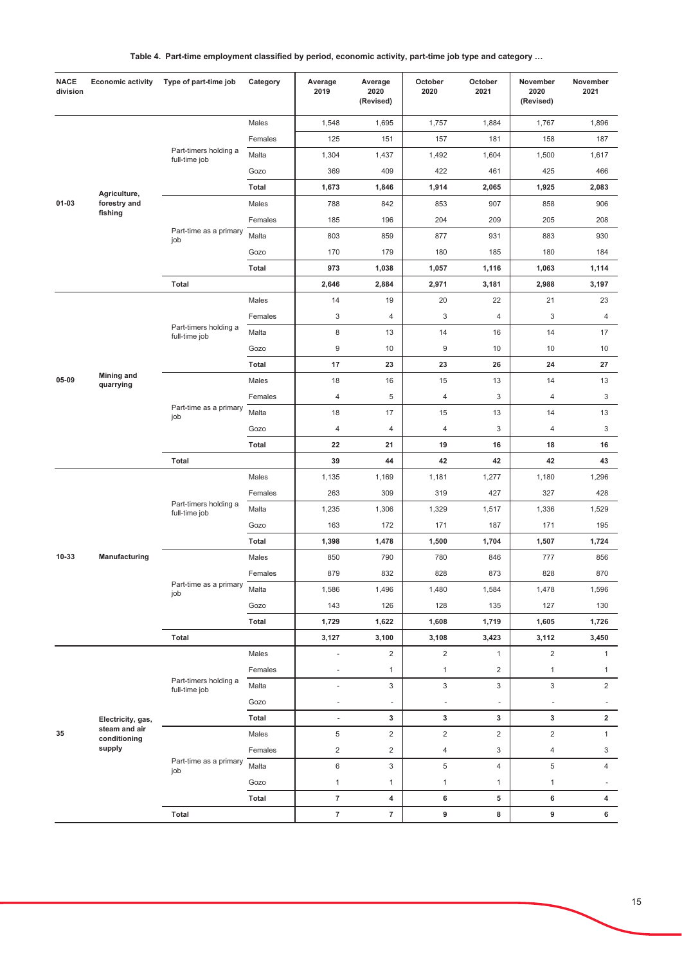|  | Table 4. Part-time employment classified by period, economic activity, part-time job type and category |  |  |  |  |
|--|--------------------------------------------------------------------------------------------------------|--|--|--|--|
|--|--------------------------------------------------------------------------------------------------------|--|--|--|--|

| Males<br>1,884<br>1,896<br>1,548<br>1,695<br>1,757<br>1,767<br>Females<br>125<br>151<br>157<br>181<br>158<br>187<br>Part-timers holding a<br>Malta<br>1,304<br>1,437<br>1,492<br>1,604<br>1,500<br>1,617<br>full-time job<br>369<br>409<br>422<br>461<br>Gozo<br>425<br>466<br>Total<br>1,673<br>1,846<br>1,914<br>2,065<br>1,925<br>2,083<br>Agriculture,<br>$01 - 03$<br>forestry and<br>Males<br>907<br>788<br>842<br>853<br>858<br>906<br>fishing<br>204<br>209<br>208<br>Females<br>185<br>196<br>205<br>Part-time as a primary<br>Malta<br>803<br>859<br>877<br>931<br>883<br>930<br>job<br>170<br>179<br>185<br>184<br>Gozo<br>180<br>180<br><b>Total</b><br>973<br>1,038<br>1,116<br>1,057<br>1,063<br>1,114<br>Total<br>2,646<br>2,884<br>2,971<br>3,181<br>2,988<br>3,197<br>Males<br>14<br>19<br>20<br>22<br>21<br>23<br>3<br>$\overline{4}$<br>3<br>4<br>3<br>Females<br>4<br>Part-timers holding a<br>8<br>Malta<br>13<br>14<br>14<br>17<br>16<br>full-time job<br>$\boldsymbol{9}$<br>$9\,$<br>10<br>Gozo<br>10<br>10<br>10<br>17<br>23<br>Total<br>23<br>26<br>24<br>27<br><b>Mining and</b><br>05-09<br>Males<br>18<br>16<br>15<br>13<br>14<br>13<br>quarrying<br>$\sqrt{5}$<br>3<br>Females<br>4<br>4<br>4<br>3<br>Part-time as a primary<br>15<br>Malta<br>18<br>17<br>13<br>14<br>13<br>job<br>$\sqrt{4}$<br>$\sqrt{4}$<br>3<br>3<br>Gozo<br>4<br>4<br>22<br>19<br>16<br>18<br>Total<br>21<br>16<br><b>Total</b><br>44<br>42<br>39<br>42<br>42<br>43<br>Males<br>1,277<br>1,180<br>1,296<br>1,135<br>1,169<br>1,181<br>Females<br>263<br>309<br>319<br>427<br>327<br>428<br>Part-timers holding a<br>1,235<br>1,329<br>Malta<br>1,306<br>1,517<br>1,336<br>1,529<br>full-time job<br>Gozo<br>163<br>172<br>171<br>187<br>171<br>195<br>Total<br>1,398<br>1,478<br>1,500<br>1,704<br>1,507<br>1,724<br>10-33<br>Manufacturing<br>Males<br>790<br>850<br>780<br>846<br>777<br>856<br>879<br>832<br>828<br>873<br>828<br>870<br>Females<br>Part-time as a primary<br>Malta<br>1,586<br>1,496<br>1,480<br>1,584<br>1,478<br>1,596<br>job<br>143<br>126<br>128<br>135<br>127<br>130<br>Gozo<br>Total<br>1,729<br>1,622<br>1,608<br>1,719<br>1,605<br>1,726<br>Total<br>3,127<br>3,100<br>3,108<br>3,423<br>3,112<br>3,450<br>$\overline{2}$<br>$\overline{2}$<br>Males<br>$\overline{2}$<br>$\mathbf{1}$<br>$\mathbf{1}$<br>÷,<br>Females<br>$\mathbf{1}$<br>$\mathbf{1}$<br>2<br>$\mathbf{1}$<br>$\mathbf{1}$<br>÷,<br>Part-timers holding a<br>Malta<br>3<br>3<br>3<br>3<br>$\overline{2}$<br>÷.<br>full-time job | <b>NACE</b><br>division |  | Economic activity  Type of part-time job | Category | Average<br>2019 | Average<br>2020<br>(Revised) | October<br>2020 | October<br>2021 | November<br>2020<br>(Revised) | November<br>2021 |
|-----------------------------------------------------------------------------------------------------------------------------------------------------------------------------------------------------------------------------------------------------------------------------------------------------------------------------------------------------------------------------------------------------------------------------------------------------------------------------------------------------------------------------------------------------------------------------------------------------------------------------------------------------------------------------------------------------------------------------------------------------------------------------------------------------------------------------------------------------------------------------------------------------------------------------------------------------------------------------------------------------------------------------------------------------------------------------------------------------------------------------------------------------------------------------------------------------------------------------------------------------------------------------------------------------------------------------------------------------------------------------------------------------------------------------------------------------------------------------------------------------------------------------------------------------------------------------------------------------------------------------------------------------------------------------------------------------------------------------------------------------------------------------------------------------------------------------------------------------------------------------------------------------------------------------------------------------------------------------------------------------------------------------------------------------------------------------------------------------------------------------------------------------------------------------------------------------------------------------------------------------------------------------------------------------------------------------------------------------------------------------------------------------------------------------------------------------------------------------------------------------------------------------------|-------------------------|--|------------------------------------------|----------|-----------------|------------------------------|-----------------|-----------------|-------------------------------|------------------|
|                                                                                                                                                                                                                                                                                                                                                                                                                                                                                                                                                                                                                                                                                                                                                                                                                                                                                                                                                                                                                                                                                                                                                                                                                                                                                                                                                                                                                                                                                                                                                                                                                                                                                                                                                                                                                                                                                                                                                                                                                                                                                                                                                                                                                                                                                                                                                                                                                                                                                                                                   |                         |  |                                          |          |                 |                              |                 |                 |                               |                  |
|                                                                                                                                                                                                                                                                                                                                                                                                                                                                                                                                                                                                                                                                                                                                                                                                                                                                                                                                                                                                                                                                                                                                                                                                                                                                                                                                                                                                                                                                                                                                                                                                                                                                                                                                                                                                                                                                                                                                                                                                                                                                                                                                                                                                                                                                                                                                                                                                                                                                                                                                   |                         |  |                                          |          |                 |                              |                 |                 |                               |                  |
|                                                                                                                                                                                                                                                                                                                                                                                                                                                                                                                                                                                                                                                                                                                                                                                                                                                                                                                                                                                                                                                                                                                                                                                                                                                                                                                                                                                                                                                                                                                                                                                                                                                                                                                                                                                                                                                                                                                                                                                                                                                                                                                                                                                                                                                                                                                                                                                                                                                                                                                                   |                         |  |                                          |          |                 |                              |                 |                 |                               |                  |
|                                                                                                                                                                                                                                                                                                                                                                                                                                                                                                                                                                                                                                                                                                                                                                                                                                                                                                                                                                                                                                                                                                                                                                                                                                                                                                                                                                                                                                                                                                                                                                                                                                                                                                                                                                                                                                                                                                                                                                                                                                                                                                                                                                                                                                                                                                                                                                                                                                                                                                                                   |                         |  |                                          |          |                 |                              |                 |                 |                               |                  |
|                                                                                                                                                                                                                                                                                                                                                                                                                                                                                                                                                                                                                                                                                                                                                                                                                                                                                                                                                                                                                                                                                                                                                                                                                                                                                                                                                                                                                                                                                                                                                                                                                                                                                                                                                                                                                                                                                                                                                                                                                                                                                                                                                                                                                                                                                                                                                                                                                                                                                                                                   |                         |  |                                          |          |                 |                              |                 |                 |                               |                  |
|                                                                                                                                                                                                                                                                                                                                                                                                                                                                                                                                                                                                                                                                                                                                                                                                                                                                                                                                                                                                                                                                                                                                                                                                                                                                                                                                                                                                                                                                                                                                                                                                                                                                                                                                                                                                                                                                                                                                                                                                                                                                                                                                                                                                                                                                                                                                                                                                                                                                                                                                   |                         |  |                                          |          |                 |                              |                 |                 |                               |                  |
|                                                                                                                                                                                                                                                                                                                                                                                                                                                                                                                                                                                                                                                                                                                                                                                                                                                                                                                                                                                                                                                                                                                                                                                                                                                                                                                                                                                                                                                                                                                                                                                                                                                                                                                                                                                                                                                                                                                                                                                                                                                                                                                                                                                                                                                                                                                                                                                                                                                                                                                                   |                         |  |                                          |          |                 |                              |                 |                 |                               |                  |
|                                                                                                                                                                                                                                                                                                                                                                                                                                                                                                                                                                                                                                                                                                                                                                                                                                                                                                                                                                                                                                                                                                                                                                                                                                                                                                                                                                                                                                                                                                                                                                                                                                                                                                                                                                                                                                                                                                                                                                                                                                                                                                                                                                                                                                                                                                                                                                                                                                                                                                                                   |                         |  |                                          |          |                 |                              |                 |                 |                               |                  |
|                                                                                                                                                                                                                                                                                                                                                                                                                                                                                                                                                                                                                                                                                                                                                                                                                                                                                                                                                                                                                                                                                                                                                                                                                                                                                                                                                                                                                                                                                                                                                                                                                                                                                                                                                                                                                                                                                                                                                                                                                                                                                                                                                                                                                                                                                                                                                                                                                                                                                                                                   |                         |  |                                          |          |                 |                              |                 |                 |                               |                  |
|                                                                                                                                                                                                                                                                                                                                                                                                                                                                                                                                                                                                                                                                                                                                                                                                                                                                                                                                                                                                                                                                                                                                                                                                                                                                                                                                                                                                                                                                                                                                                                                                                                                                                                                                                                                                                                                                                                                                                                                                                                                                                                                                                                                                                                                                                                                                                                                                                                                                                                                                   |                         |  |                                          |          |                 |                              |                 |                 |                               |                  |
|                                                                                                                                                                                                                                                                                                                                                                                                                                                                                                                                                                                                                                                                                                                                                                                                                                                                                                                                                                                                                                                                                                                                                                                                                                                                                                                                                                                                                                                                                                                                                                                                                                                                                                                                                                                                                                                                                                                                                                                                                                                                                                                                                                                                                                                                                                                                                                                                                                                                                                                                   |                         |  |                                          |          |                 |                              |                 |                 |                               |                  |
|                                                                                                                                                                                                                                                                                                                                                                                                                                                                                                                                                                                                                                                                                                                                                                                                                                                                                                                                                                                                                                                                                                                                                                                                                                                                                                                                                                                                                                                                                                                                                                                                                                                                                                                                                                                                                                                                                                                                                                                                                                                                                                                                                                                                                                                                                                                                                                                                                                                                                                                                   |                         |  |                                          |          |                 |                              |                 |                 |                               |                  |
|                                                                                                                                                                                                                                                                                                                                                                                                                                                                                                                                                                                                                                                                                                                                                                                                                                                                                                                                                                                                                                                                                                                                                                                                                                                                                                                                                                                                                                                                                                                                                                                                                                                                                                                                                                                                                                                                                                                                                                                                                                                                                                                                                                                                                                                                                                                                                                                                                                                                                                                                   |                         |  |                                          |          |                 |                              |                 |                 |                               |                  |
|                                                                                                                                                                                                                                                                                                                                                                                                                                                                                                                                                                                                                                                                                                                                                                                                                                                                                                                                                                                                                                                                                                                                                                                                                                                                                                                                                                                                                                                                                                                                                                                                                                                                                                                                                                                                                                                                                                                                                                                                                                                                                                                                                                                                                                                                                                                                                                                                                                                                                                                                   |                         |  |                                          |          |                 |                              |                 |                 |                               |                  |
|                                                                                                                                                                                                                                                                                                                                                                                                                                                                                                                                                                                                                                                                                                                                                                                                                                                                                                                                                                                                                                                                                                                                                                                                                                                                                                                                                                                                                                                                                                                                                                                                                                                                                                                                                                                                                                                                                                                                                                                                                                                                                                                                                                                                                                                                                                                                                                                                                                                                                                                                   |                         |  |                                          |          |                 |                              |                 |                 |                               |                  |
|                                                                                                                                                                                                                                                                                                                                                                                                                                                                                                                                                                                                                                                                                                                                                                                                                                                                                                                                                                                                                                                                                                                                                                                                                                                                                                                                                                                                                                                                                                                                                                                                                                                                                                                                                                                                                                                                                                                                                                                                                                                                                                                                                                                                                                                                                                                                                                                                                                                                                                                                   |                         |  |                                          |          |                 |                              |                 |                 |                               |                  |
|                                                                                                                                                                                                                                                                                                                                                                                                                                                                                                                                                                                                                                                                                                                                                                                                                                                                                                                                                                                                                                                                                                                                                                                                                                                                                                                                                                                                                                                                                                                                                                                                                                                                                                                                                                                                                                                                                                                                                                                                                                                                                                                                                                                                                                                                                                                                                                                                                                                                                                                                   |                         |  |                                          |          |                 |                              |                 |                 |                               |                  |
|                                                                                                                                                                                                                                                                                                                                                                                                                                                                                                                                                                                                                                                                                                                                                                                                                                                                                                                                                                                                                                                                                                                                                                                                                                                                                                                                                                                                                                                                                                                                                                                                                                                                                                                                                                                                                                                                                                                                                                                                                                                                                                                                                                                                                                                                                                                                                                                                                                                                                                                                   |                         |  |                                          |          |                 |                              |                 |                 |                               |                  |
|                                                                                                                                                                                                                                                                                                                                                                                                                                                                                                                                                                                                                                                                                                                                                                                                                                                                                                                                                                                                                                                                                                                                                                                                                                                                                                                                                                                                                                                                                                                                                                                                                                                                                                                                                                                                                                                                                                                                                                                                                                                                                                                                                                                                                                                                                                                                                                                                                                                                                                                                   |                         |  |                                          |          |                 |                              |                 |                 |                               |                  |
|                                                                                                                                                                                                                                                                                                                                                                                                                                                                                                                                                                                                                                                                                                                                                                                                                                                                                                                                                                                                                                                                                                                                                                                                                                                                                                                                                                                                                                                                                                                                                                                                                                                                                                                                                                                                                                                                                                                                                                                                                                                                                                                                                                                                                                                                                                                                                                                                                                                                                                                                   |                         |  |                                          |          |                 |                              |                 |                 |                               |                  |
|                                                                                                                                                                                                                                                                                                                                                                                                                                                                                                                                                                                                                                                                                                                                                                                                                                                                                                                                                                                                                                                                                                                                                                                                                                                                                                                                                                                                                                                                                                                                                                                                                                                                                                                                                                                                                                                                                                                                                                                                                                                                                                                                                                                                                                                                                                                                                                                                                                                                                                                                   |                         |  |                                          |          |                 |                              |                 |                 |                               |                  |
|                                                                                                                                                                                                                                                                                                                                                                                                                                                                                                                                                                                                                                                                                                                                                                                                                                                                                                                                                                                                                                                                                                                                                                                                                                                                                                                                                                                                                                                                                                                                                                                                                                                                                                                                                                                                                                                                                                                                                                                                                                                                                                                                                                                                                                                                                                                                                                                                                                                                                                                                   |                         |  |                                          |          |                 |                              |                 |                 |                               |                  |
|                                                                                                                                                                                                                                                                                                                                                                                                                                                                                                                                                                                                                                                                                                                                                                                                                                                                                                                                                                                                                                                                                                                                                                                                                                                                                                                                                                                                                                                                                                                                                                                                                                                                                                                                                                                                                                                                                                                                                                                                                                                                                                                                                                                                                                                                                                                                                                                                                                                                                                                                   |                         |  |                                          |          |                 |                              |                 |                 |                               |                  |
|                                                                                                                                                                                                                                                                                                                                                                                                                                                                                                                                                                                                                                                                                                                                                                                                                                                                                                                                                                                                                                                                                                                                                                                                                                                                                                                                                                                                                                                                                                                                                                                                                                                                                                                                                                                                                                                                                                                                                                                                                                                                                                                                                                                                                                                                                                                                                                                                                                                                                                                                   |                         |  |                                          |          |                 |                              |                 |                 |                               |                  |
|                                                                                                                                                                                                                                                                                                                                                                                                                                                                                                                                                                                                                                                                                                                                                                                                                                                                                                                                                                                                                                                                                                                                                                                                                                                                                                                                                                                                                                                                                                                                                                                                                                                                                                                                                                                                                                                                                                                                                                                                                                                                                                                                                                                                                                                                                                                                                                                                                                                                                                                                   |                         |  |                                          |          |                 |                              |                 |                 |                               |                  |
|                                                                                                                                                                                                                                                                                                                                                                                                                                                                                                                                                                                                                                                                                                                                                                                                                                                                                                                                                                                                                                                                                                                                                                                                                                                                                                                                                                                                                                                                                                                                                                                                                                                                                                                                                                                                                                                                                                                                                                                                                                                                                                                                                                                                                                                                                                                                                                                                                                                                                                                                   |                         |  |                                          |          |                 |                              |                 |                 |                               |                  |
|                                                                                                                                                                                                                                                                                                                                                                                                                                                                                                                                                                                                                                                                                                                                                                                                                                                                                                                                                                                                                                                                                                                                                                                                                                                                                                                                                                                                                                                                                                                                                                                                                                                                                                                                                                                                                                                                                                                                                                                                                                                                                                                                                                                                                                                                                                                                                                                                                                                                                                                                   |                         |  |                                          |          |                 |                              |                 |                 |                               |                  |
|                                                                                                                                                                                                                                                                                                                                                                                                                                                                                                                                                                                                                                                                                                                                                                                                                                                                                                                                                                                                                                                                                                                                                                                                                                                                                                                                                                                                                                                                                                                                                                                                                                                                                                                                                                                                                                                                                                                                                                                                                                                                                                                                                                                                                                                                                                                                                                                                                                                                                                                                   |                         |  |                                          |          |                 |                              |                 |                 |                               |                  |
|                                                                                                                                                                                                                                                                                                                                                                                                                                                                                                                                                                                                                                                                                                                                                                                                                                                                                                                                                                                                                                                                                                                                                                                                                                                                                                                                                                                                                                                                                                                                                                                                                                                                                                                                                                                                                                                                                                                                                                                                                                                                                                                                                                                                                                                                                                                                                                                                                                                                                                                                   |                         |  |                                          |          |                 |                              |                 |                 |                               |                  |
|                                                                                                                                                                                                                                                                                                                                                                                                                                                                                                                                                                                                                                                                                                                                                                                                                                                                                                                                                                                                                                                                                                                                                                                                                                                                                                                                                                                                                                                                                                                                                                                                                                                                                                                                                                                                                                                                                                                                                                                                                                                                                                                                                                                                                                                                                                                                                                                                                                                                                                                                   |                         |  |                                          |          |                 |                              |                 |                 |                               |                  |
|                                                                                                                                                                                                                                                                                                                                                                                                                                                                                                                                                                                                                                                                                                                                                                                                                                                                                                                                                                                                                                                                                                                                                                                                                                                                                                                                                                                                                                                                                                                                                                                                                                                                                                                                                                                                                                                                                                                                                                                                                                                                                                                                                                                                                                                                                                                                                                                                                                                                                                                                   |                         |  |                                          |          |                 |                              |                 |                 |                               |                  |
|                                                                                                                                                                                                                                                                                                                                                                                                                                                                                                                                                                                                                                                                                                                                                                                                                                                                                                                                                                                                                                                                                                                                                                                                                                                                                                                                                                                                                                                                                                                                                                                                                                                                                                                                                                                                                                                                                                                                                                                                                                                                                                                                                                                                                                                                                                                                                                                                                                                                                                                                   |                         |  |                                          |          |                 |                              |                 |                 |                               |                  |
|                                                                                                                                                                                                                                                                                                                                                                                                                                                                                                                                                                                                                                                                                                                                                                                                                                                                                                                                                                                                                                                                                                                                                                                                                                                                                                                                                                                                                                                                                                                                                                                                                                                                                                                                                                                                                                                                                                                                                                                                                                                                                                                                                                                                                                                                                                                                                                                                                                                                                                                                   |                         |  |                                          |          |                 |                              |                 |                 |                               |                  |
|                                                                                                                                                                                                                                                                                                                                                                                                                                                                                                                                                                                                                                                                                                                                                                                                                                                                                                                                                                                                                                                                                                                                                                                                                                                                                                                                                                                                                                                                                                                                                                                                                                                                                                                                                                                                                                                                                                                                                                                                                                                                                                                                                                                                                                                                                                                                                                                                                                                                                                                                   |                         |  |                                          |          |                 |                              |                 |                 |                               |                  |
|                                                                                                                                                                                                                                                                                                                                                                                                                                                                                                                                                                                                                                                                                                                                                                                                                                                                                                                                                                                                                                                                                                                                                                                                                                                                                                                                                                                                                                                                                                                                                                                                                                                                                                                                                                                                                                                                                                                                                                                                                                                                                                                                                                                                                                                                                                                                                                                                                                                                                                                                   |                         |  |                                          |          |                 |                              |                 |                 |                               |                  |
| Gozo<br>$\overline{\phantom{a}}$<br>$\overline{\phantom{a}}$<br>$\overline{\phantom{a}}$<br>$\overline{\phantom{a}}$                                                                                                                                                                                                                                                                                                                                                                                                                                                                                                                                                                                                                                                                                                                                                                                                                                                                                                                                                                                                                                                                                                                                                                                                                                                                                                                                                                                                                                                                                                                                                                                                                                                                                                                                                                                                                                                                                                                                                                                                                                                                                                                                                                                                                                                                                                                                                                                                              |                         |  |                                          |          |                 |                              |                 |                 |                               |                  |
| $\overline{\phantom{a}}$<br>3<br>3<br>3<br>3<br>$\overline{\mathbf{2}}$                                                                                                                                                                                                                                                                                                                                                                                                                                                                                                                                                                                                                                                                                                                                                                                                                                                                                                                                                                                                                                                                                                                                                                                                                                                                                                                                                                                                                                                                                                                                                                                                                                                                                                                                                                                                                                                                                                                                                                                                                                                                                                                                                                                                                                                                                                                                                                                                                                                           |                         |  |                                          |          |                 |                              |                 |                 |                               |                  |
| Total<br>$\overline{\phantom{a}}$<br>Electricity, gas,<br>steam and air<br>$\sqrt{2}$<br>$\overline{2}$<br>$\overline{2}$<br>$\overline{2}$<br>35<br>Males<br>5<br>$\mathbf{1}$                                                                                                                                                                                                                                                                                                                                                                                                                                                                                                                                                                                                                                                                                                                                                                                                                                                                                                                                                                                                                                                                                                                                                                                                                                                                                                                                                                                                                                                                                                                                                                                                                                                                                                                                                                                                                                                                                                                                                                                                                                                                                                                                                                                                                                                                                                                                                   |                         |  |                                          |          |                 |                              |                 |                 |                               |                  |
| conditioning<br>supply<br>2<br>$\mathbf 2$<br>3<br>4<br>4<br>Females<br>3                                                                                                                                                                                                                                                                                                                                                                                                                                                                                                                                                                                                                                                                                                                                                                                                                                                                                                                                                                                                                                                                                                                                                                                                                                                                                                                                                                                                                                                                                                                                                                                                                                                                                                                                                                                                                                                                                                                                                                                                                                                                                                                                                                                                                                                                                                                                                                                                                                                         |                         |  |                                          |          |                 |                              |                 |                 |                               |                  |
| Part-time as a primary<br>Malta<br>6<br>$\mathsf 3$<br>5<br>$\,$ 5 $\,$<br>4<br>$\overline{4}$                                                                                                                                                                                                                                                                                                                                                                                                                                                                                                                                                                                                                                                                                                                                                                                                                                                                                                                                                                                                                                                                                                                                                                                                                                                                                                                                                                                                                                                                                                                                                                                                                                                                                                                                                                                                                                                                                                                                                                                                                                                                                                                                                                                                                                                                                                                                                                                                                                    |                         |  |                                          |          |                 |                              |                 |                 |                               |                  |
| job<br>$\mathbf{1}$<br>$\mathbf{1}$<br>$\mathbf{1}$<br>$\mathbf{1}$<br>$\mathbf{1}$<br>Gozo<br>$\overline{\phantom{a}}$                                                                                                                                                                                                                                                                                                                                                                                                                                                                                                                                                                                                                                                                                                                                                                                                                                                                                                                                                                                                                                                                                                                                                                                                                                                                                                                                                                                                                                                                                                                                                                                                                                                                                                                                                                                                                                                                                                                                                                                                                                                                                                                                                                                                                                                                                                                                                                                                           |                         |  |                                          |          |                 |                              |                 |                 |                               |                  |
| $\overline{7}$<br>4<br>6<br>5<br>6<br>Total<br>4                                                                                                                                                                                                                                                                                                                                                                                                                                                                                                                                                                                                                                                                                                                                                                                                                                                                                                                                                                                                                                                                                                                                                                                                                                                                                                                                                                                                                                                                                                                                                                                                                                                                                                                                                                                                                                                                                                                                                                                                                                                                                                                                                                                                                                                                                                                                                                                                                                                                                  |                         |  |                                          |          |                 |                              |                 |                 |                               |                  |
| $\overline{\mathbf{7}}$<br>$\overline{7}$<br>Total<br>9<br>8<br>9<br>6                                                                                                                                                                                                                                                                                                                                                                                                                                                                                                                                                                                                                                                                                                                                                                                                                                                                                                                                                                                                                                                                                                                                                                                                                                                                                                                                                                                                                                                                                                                                                                                                                                                                                                                                                                                                                                                                                                                                                                                                                                                                                                                                                                                                                                                                                                                                                                                                                                                            |                         |  |                                          |          |                 |                              |                 |                 |                               |                  |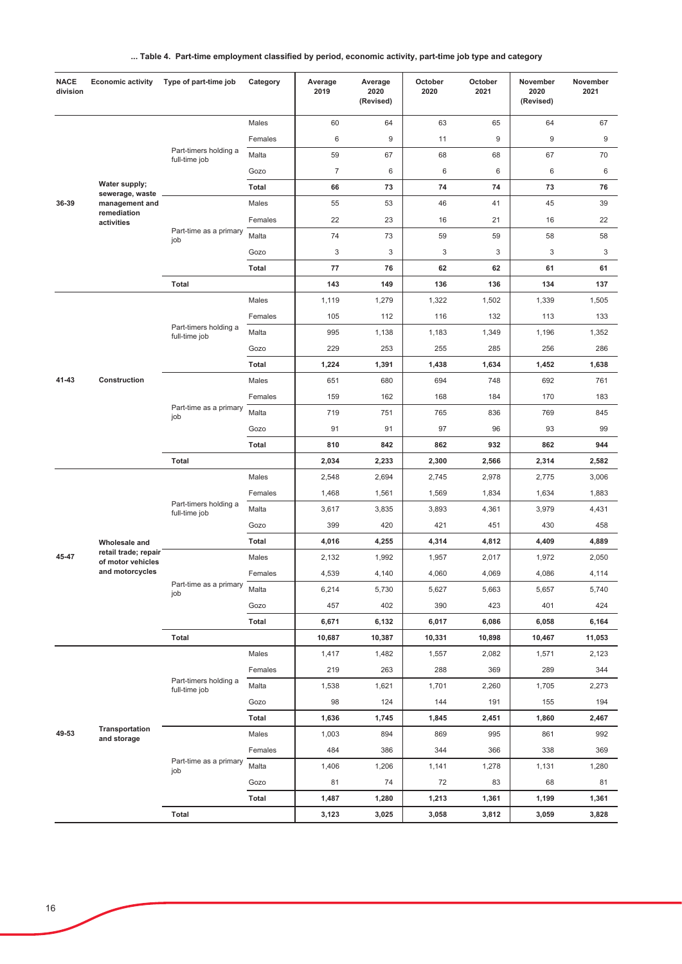|  |  | Table 4. Part-time employment classified by period, economic activity, part-time job type and category |  |  |
|--|--|--------------------------------------------------------------------------------------------------------|--|--|
|--|--|--------------------------------------------------------------------------------------------------------|--|--|

| <b>NACE</b><br>division | <b>Economic activity</b>                  | Type of part-time job                  | Category     | Average<br>2019 | Average<br>2020<br>(Revised) | October<br>2020 | October<br>2021 | November<br>2020<br>(Revised) | November<br>2021 |
|-------------------------|-------------------------------------------|----------------------------------------|--------------|-----------------|------------------------------|-----------------|-----------------|-------------------------------|------------------|
|                         |                                           |                                        | Males        | 60              | 64                           | 63              | 65              | 64                            | 67               |
|                         |                                           |                                        | Females      | 6               | 9                            | 11              | 9               | 9                             | 9                |
|                         |                                           | Part-timers holding a<br>full-time job | Malta        | 59              | 67                           | 68              | 68              | 67                            | 70               |
|                         |                                           |                                        | Gozo         | $\overline{7}$  | 6                            | 6               | 6               | 6                             | 6                |
|                         | Water supply;<br>sewerage, waste          |                                        | Total        | 66              | 73                           | 74              | 74              | 73                            | 76               |
| 36-39                   | management and                            |                                        | Males        | 55              | 53                           | 46              | 41              | 45                            | 39               |
|                         | remediation<br>activities                 |                                        | Females      | 22              | 23                           | 16              | 21              | 16                            | 22               |
|                         |                                           | Part-time as a primary<br>job          | Malta        | 74              | 73                           | 59              | 59              | 58                            | 58               |
|                         |                                           |                                        | Gozo         | 3               | $\sqrt{3}$                   | 3               | 3               | 3                             | 3                |
|                         |                                           |                                        | <b>Total</b> | 77              | 76                           | 62              | 62              | 61                            | 61               |
|                         |                                           | Total                                  |              | 143             | 149                          | 136             | 136             | 134                           | 137              |
|                         |                                           |                                        | Males        | 1,119           | 1,279                        | 1,322           | 1,502           | 1,339                         | 1,505            |
|                         |                                           |                                        | Females      | 105             | 112                          | 116             | 132             | 113                           | 133              |
|                         |                                           | Part-timers holding a<br>full-time job | Malta        | 995             | 1,138                        | 1,183           | 1,349           | 1,196                         | 1,352            |
|                         |                                           |                                        | Gozo         | 229             | 253                          | 255             | 285             | 256                           | 286              |
|                         | Construction                              |                                        | <b>Total</b> | 1,224           | 1,391                        | 1,438           | 1,634           | 1,452                         | 1,638            |
| 41-43                   |                                           |                                        | Males        | 651             | 680                          | 694             | 748             | 692                           | 761              |
|                         |                                           |                                        | Females      | 159             | 162                          | 168             | 184             | 170                           | 183              |
|                         |                                           | Part-time as a primary<br>job          | Malta        | 719             | 751                          | 765             | 836             | 769                           | 845              |
|                         |                                           |                                        | Gozo         | 91              | 91                           | 97              | 96              | 93                            | 99               |
|                         |                                           |                                        | <b>Total</b> | 810             | 842                          | 862             | 932             | 862                           | 944              |
|                         |                                           | <b>Total</b>                           |              | 2,034           | 2,233                        | 2,300           | 2,566           | 2,314                         | 2,582            |
|                         |                                           | Part-timers holding a<br>full-time job | Males        | 2,548           | 2,694                        | 2,745           | 2,978           | 2,775                         | 3,006            |
|                         |                                           |                                        | Females      | 1,468           | 1,561                        | 1,569           | 1,834           | 1,634                         | 1,883            |
|                         |                                           |                                        | Malta        | 3,617           | 3,835                        | 3,893           | 4,361           | 3,979                         | 4,431            |
|                         |                                           |                                        | Gozo         | 399             | 420                          | 421             | 451             | 430                           | 458              |
|                         | Wholesale and                             |                                        | <b>Total</b> | 4,016           | 4,255                        | 4,314           | 4,812           | 4,409                         | 4,889            |
| 45-47                   | retail trade; repair<br>of motor vehicles |                                        | Males        | 2,132           | 1,992                        | 1,957           | 2,017           | 1,972                         | 2,050            |
|                         | and motorcycles                           |                                        | Females      | 4,539           | 4,140                        | 4,060           | 4,069           | 4,086                         | 4,114            |
|                         |                                           | Part-time as a primary<br>job          | Malta        | 6,214           | 5,730                        | 5,627           | 5,663           | 5,657                         | 5,740            |
|                         |                                           |                                        | Gozo         | 457             | 402                          | 390             | 423             | 401                           | 424              |
|                         |                                           |                                        | Total        | 6,671           | 6,132                        | 6,017           | 6,086           | 6,058                         | 6,164            |
|                         |                                           | Total                                  |              | 10,687          | 10,387                       | 10,331          | 10,898          | 10,467                        | 11,053           |
|                         |                                           |                                        | Males        | 1,417           | 1,482                        | 1,557           | 2,082           | 1,571                         | 2,123            |
|                         |                                           |                                        | Females      | 219             | 263                          | 288             | 369             | 289                           | 344              |
|                         |                                           | Part-timers holding a<br>full-time job | Malta        | 1,538           | 1,621                        | 1,701           | 2,260           | 1,705                         | 2,273            |
|                         |                                           |                                        | Gozo         | 98              | 124                          | 144             | 191             | 155                           | 194              |
|                         |                                           |                                        | Total        | 1,636           | 1,745                        | 1,845           | 2,451           | 1,860                         | 2,467            |
| 49-53                   | Transportation<br>and storage             |                                        | Males        | 1,003           | 894                          | 869             | 995             | 861                           | 992              |
|                         |                                           |                                        | Females      | 484             | 386                          | 344             | 366             | 338                           | 369              |
|                         |                                           | Part-time as a primary<br>job          | Malta        | 1,406           | 1,206                        | 1,141           | 1,278           | 1,131                         | 1,280            |
|                         |                                           |                                        | Gozo         | 81              | 74                           | 72              | 83              | 68                            | 81               |
|                         |                                           |                                        | Total        | 1,487           | 1,280                        | 1,213           | 1,361           | 1,199                         | 1,361            |
|                         |                                           | Total                                  |              | 3,123           | 3,025                        | 3,058           | 3,812           | 3,059                         | 3,828            |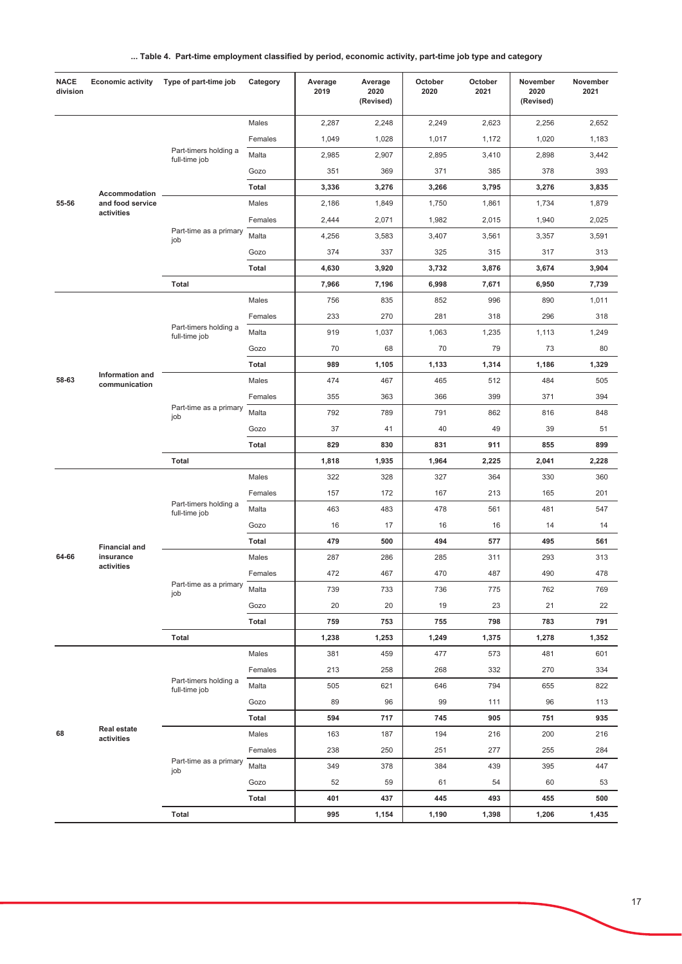|  |  | Table 4. Part-time employment classified by period, economic activity, part-time job type and category |  |  |
|--|--|--------------------------------------------------------------------------------------------------------|--|--|
|--|--|--------------------------------------------------------------------------------------------------------|--|--|

| <b>NACE</b><br>division | <b>Economic activity</b>         | Type of part-time job                  | Category     | Average<br>2019 | Average<br>2020<br>(Revised) | October<br>2020 | October<br>2021 | November<br>2020<br>(Revised) | November<br>2021 |
|-------------------------|----------------------------------|----------------------------------------|--------------|-----------------|------------------------------|-----------------|-----------------|-------------------------------|------------------|
|                         |                                  |                                        | Males        | 2,287           | 2,248                        | 2,249           | 2,623           | 2,256                         | 2,652            |
|                         |                                  |                                        | Females      | 1,049           | 1,028                        | 1,017           | 1,172           | 1,020                         | 1,183            |
|                         |                                  | Part-timers holding a<br>full-time job | Malta        | 2,985           | 2,907                        | 2,895           | 3,410           | 2,898                         | 3,442            |
|                         |                                  |                                        | Gozo         | 351             | 369                          | 371             | 385             | 378                           | 393              |
|                         | Accommodation                    |                                        | <b>Total</b> | 3,336           | 3,276                        | 3,266           | 3,795           | 3,276                         | 3,835            |
| 55-56                   | and food service                 |                                        | Males        | 2,186           | 1,849                        | 1,750           | 1,861           | 1,734                         | 1,879            |
|                         | activities                       |                                        | Females      | 2,444           | 2,071                        | 1,982           | 2,015           | 1,940                         | 2,025            |
|                         |                                  | Part-time as a primary<br>job          | Malta        | 4,256           | 3,583                        | 3,407           | 3,561           | 3,357                         | 3,591            |
|                         |                                  |                                        | Gozo         | 374             | 337                          | 325             | 315             | 317                           | 313              |
|                         |                                  |                                        | Total        | 4,630           | 3,920                        | 3,732           | 3,876           | 3,674                         | 3,904            |
|                         |                                  | <b>Total</b>                           |              | 7,966           | 7,196                        | 6,998           | 7,671           | 6,950                         | 7,739            |
|                         |                                  |                                        | Males        | 756             | 835                          | 852             | 996             | 890                           | 1,011            |
|                         |                                  |                                        | Females      | 233             | 270                          | 281             | 318             | 296                           | 318              |
|                         |                                  | Part-timers holding a<br>full-time job | Malta        | 919             | 1,037                        | 1,063           | 1,235           | 1,113                         | 1,249            |
|                         |                                  |                                        | Gozo         | 70              | 68                           | 70              | 79              | 73                            | 80               |
| 58-63                   | Information and<br>communication |                                        | <b>Total</b> | 989             | 1,105                        | 1,133           | 1,314           | 1,186                         | 1,329            |
|                         |                                  |                                        | Males        | 474             | 467                          | 465             | 512             | 484                           | 505              |
|                         |                                  |                                        | Females      | 355             | 363                          | 366             | 399             | 371                           | 394              |
|                         |                                  | Part-time as a primary<br>job          | Malta        | 792             | 789                          | 791             | 862             | 816                           | 848              |
|                         |                                  |                                        | Gozo         | 37              | 41                           | 40              | 49              | 39                            | 51               |
|                         |                                  |                                        | <b>Total</b> | 829             | 830                          | 831             | 911             | 855                           | 899              |
|                         |                                  | Total                                  |              | 1,818           | 1,935                        | 1,964           | 2,225           | 2,041                         | 2,228            |
|                         |                                  | Part-timers holding a<br>full-time job | Males        | 322             | 328                          | 327             | 364             | 330                           | 360              |
|                         |                                  |                                        | Females      | 157             | 172                          | 167             | 213             | 165                           | 201              |
|                         |                                  |                                        | Malta        | 463             | 483                          | 478             | 561             | 481                           | 547              |
|                         |                                  |                                        | Gozo         | 16              | 17                           | 16              | 16              | 14                            | 14               |
|                         | <b>Financial and</b>             |                                        | <b>Total</b> | 479             | 500                          | 494             | 577             | 495                           | 561              |
| 64-66                   | insurance<br>activities          |                                        | Males        | 287             | 286                          | 285             | 311             | 293                           | 313              |
|                         |                                  |                                        | Females      | 472             | 467                          | 470             | 487             | 490                           | 478              |
|                         |                                  | Part-time as a primary<br>job          | Malta        | 739             | 733                          | 736             | 775             | 762                           | 769              |
|                         |                                  |                                        | Gozo         | 20              | 20                           | 19              | 23              | 21                            | 22               |
|                         |                                  |                                        | <b>Total</b> | 759             | 753                          | 755             | 798             | 783                           | 791              |
|                         |                                  | Total                                  |              | 1,238           | 1,253                        | 1,249           | 1,375           | 1,278                         | 1,352            |
|                         |                                  |                                        | Males        | 381             | 459                          | 477             | 573             | 481                           | 601              |
|                         |                                  |                                        | Females      | 213             | 258                          | 268             | 332             | 270                           | 334              |
|                         |                                  | Part-timers holding a<br>full-time job | Malta        | 505             | 621                          | 646             | 794             | 655                           | 822              |
|                         |                                  |                                        | Gozo         | 89              | 96                           | 99              | 111             | 96                            | 113              |
|                         |                                  |                                        | Total        | 594             | 717                          | 745             | 905             | 751                           | 935              |
| 68                      | Real estate<br>activities        |                                        | Males        | 163             | 187                          | 194             | 216             | 200                           | 216              |
|                         |                                  |                                        | Females      | 238             | 250                          | 251             | 277             | 255                           | 284              |
|                         |                                  | Part-time as a primary<br>job          | Malta        | 349             | 378                          | 384             | 439             | 395                           | 447              |
|                         |                                  |                                        | Gozo         | 52              | 59                           | 61              | 54              | 60                            | 53               |
|                         |                                  |                                        | Total        | 401             | 437                          | 445             | 493             | 455                           | 500              |
|                         |                                  | Total                                  |              | 995             | 1,154                        | 1,190           | 1,398           | 1,206                         | 1,435            |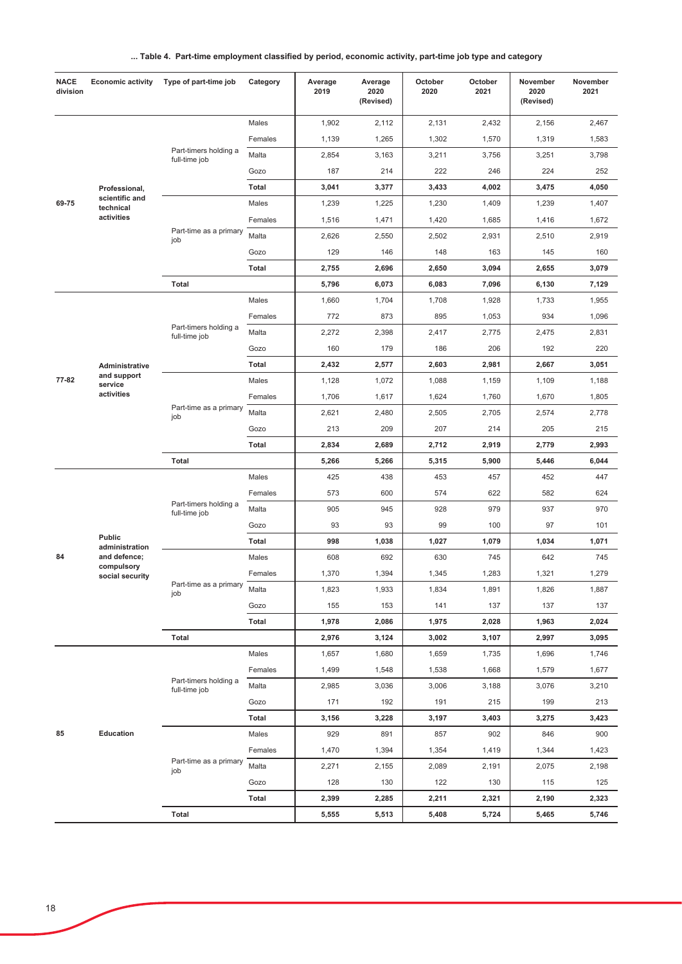|  | Table 4. Part-time employment classified by period, economic activity, part-time job type and category |  |  |  |
|--|--------------------------------------------------------------------------------------------------------|--|--|--|
|--|--------------------------------------------------------------------------------------------------------|--|--|--|

| <b>NACE</b><br>division | <b>Economic activity</b>             | Type of part-time job                  | Category     | Average<br>2019 | Average<br>2020<br>(Revised) | October<br>2020 | October<br>2021 | November<br>2020<br>(Revised) | November<br>2021 |
|-------------------------|--------------------------------------|----------------------------------------|--------------|-----------------|------------------------------|-----------------|-----------------|-------------------------------|------------------|
|                         |                                      |                                        | Males        | 1,902           | 2,112                        | 2,131           | 2,432           | 2,156                         | 2,467            |
|                         |                                      |                                        | Females      | 1,139           | 1,265                        | 1,302           | 1,570           | 1,319                         | 1,583            |
|                         |                                      | Part-timers holding a<br>full-time job | Malta        | 2,854           | 3,163                        | 3,211           | 3,756           | 3,251                         | 3,798            |
|                         |                                      |                                        | Gozo         | 187             | 214                          | 222             | 246             | 224                           | 252              |
|                         | Professional,                        |                                        | <b>Total</b> | 3,041           | 3,377                        | 3,433           | 4,002           | 3,475                         | 4,050            |
| 69-75                   | scientific and<br>technical          |                                        | Males        | 1,239           | 1,225                        | 1,230           | 1,409           | 1,239                         | 1,407            |
|                         | activities                           |                                        | Females      | 1,516           | 1,471                        | 1,420           | 1,685           | 1,416                         | 1,672            |
|                         |                                      | Part-time as a primary<br>job          | Malta        | 2,626           | 2,550                        | 2,502           | 2,931           | 2,510                         | 2,919            |
|                         |                                      |                                        | Gozo         | 129             | 146                          | 148             | 163             | 145                           | 160              |
|                         |                                      |                                        | <b>Total</b> | 2,755           | 2,696                        | 2,650           | 3,094           | 2,655                         | 3,079            |
|                         |                                      | <b>Total</b>                           |              | 5,796           | 6,073                        | 6,083           | 7,096           | 6,130                         | 7,129            |
|                         |                                      |                                        | Males        | 1,660           | 1,704                        | 1,708           | 1,928           | 1,733                         | 1,955            |
|                         |                                      |                                        | Females      | 772             | 873                          | 895             | 1,053           | 934                           | 1,096            |
|                         |                                      | Part-timers holding a<br>full-time job | Malta        | 2,272           | 2,398                        | 2,417           | 2,775           | 2,475                         | 2,831            |
|                         |                                      |                                        | Gozo         | 160             | 179                          | 186             | 206             | 192                           | 220              |
|                         | Administrative                       |                                        | Total        | 2,432           | 2,577                        | 2,603           | 2,981           | 2,667                         | 3,051            |
| 77-82                   | and support<br>service<br>activities |                                        | Males        | 1,128           | 1,072                        | 1,088           | 1,159           | 1,109                         | 1,188            |
|                         |                                      |                                        | Females      | 1,706           | 1,617                        | 1,624           | 1,760           | 1,670                         | 1,805            |
|                         |                                      | Part-time as a primary<br>job          | Malta        | 2,621           | 2,480                        | 2,505           | 2,705           | 2,574                         | 2,778            |
|                         |                                      |                                        | Gozo         | 213             | 209                          | 207             | 214             | 205                           | 215              |
|                         |                                      |                                        | <b>Total</b> | 2,834           | 2,689                        | 2,712           | 2,919           | 2,779                         | 2,993            |
|                         |                                      | <b>Total</b>                           |              | 5,266           | 5,266                        | 5,315           | 5,900           | 5,446                         | 6,044            |
|                         |                                      |                                        | Males        | 425             | 438                          | 453             | 457             | 452                           | 447              |
|                         |                                      |                                        | Females      | 573             | 600                          | 574             | 622             | 582                           | 624              |
|                         |                                      | Part-timers holding a<br>full-time job | Malta        | 905             | 945                          | 928             | 979             | 937                           | 970              |
|                         |                                      |                                        | Gozo         | 93              | 93                           | 99              | 100             | 97                            | 101              |
|                         | <b>Public</b><br>administration      |                                        | Total        | 998             | 1,038                        | 1,027           | 1,079           | 1,034                         | 1,071            |
| 84                      | and defence;                         | Part-time as a primary<br>job          | Males        | 608             | 692                          | 630             | 745             | 642                           | 745              |
|                         | compulsory<br>social security        |                                        | Females      | 1,370           | 1,394                        | 1,345           | 1,283           | 1,321                         | 1,279            |
|                         |                                      |                                        | Malta        | 1,823           | 1,933                        | 1,834           | 1,891           | 1,826                         | 1,887            |
|                         |                                      |                                        | Gozo         | 155             | 153                          | 141             | 137             | 137                           | 137              |
|                         |                                      |                                        | Total        | 1,978           | 2,086                        | 1,975           | 2,028           | 1,963                         | 2,024            |
|                         |                                      | Total                                  |              | 2,976           | 3,124                        | 3,002           | 3,107           | 2,997                         | 3,095            |
|                         |                                      |                                        | Males        | 1,657           | 1,680                        | 1,659           | 1,735           | 1,696                         | 1,746            |
|                         |                                      |                                        | Females      | 1,499           | 1,548                        | 1,538           | 1,668           | 1,579                         | 1,677            |
|                         |                                      | Part-timers holding a<br>full-time job | Malta        | 2,985           | 3,036                        | 3,006           | 3,188           | 3,076                         | 3,210            |
|                         |                                      |                                        | Gozo         | 171             | 192                          | 191             | 215             | 199                           | 213              |
|                         |                                      |                                        | <b>Total</b> | 3,156           | 3,228                        | 3,197           | 3,403           | 3,275                         | 3,423            |
| 85                      | Education                            |                                        | Males        | 929             | 891                          | 857             | 902             | 846                           | 900              |
|                         |                                      |                                        | Females      | 1,470           | 1,394                        | 1,354           | 1,419           | 1,344                         | 1,423            |
|                         |                                      | Part-time as a primary<br>job          | Malta        | 2,271           | 2,155                        | 2,089           | 2,191           | 2,075                         | 2,198            |
|                         |                                      |                                        | Gozo         | 128             | 130                          | 122             | 130             | 115                           | 125              |
|                         |                                      |                                        | Total        | 2,399           | 2,285                        | 2,211           | 2,321           | 2,190                         | 2,323            |
|                         |                                      | Total                                  |              | 5,555           | 5,513                        | 5,408           | 5,724           | 5,465                         | 5,746            |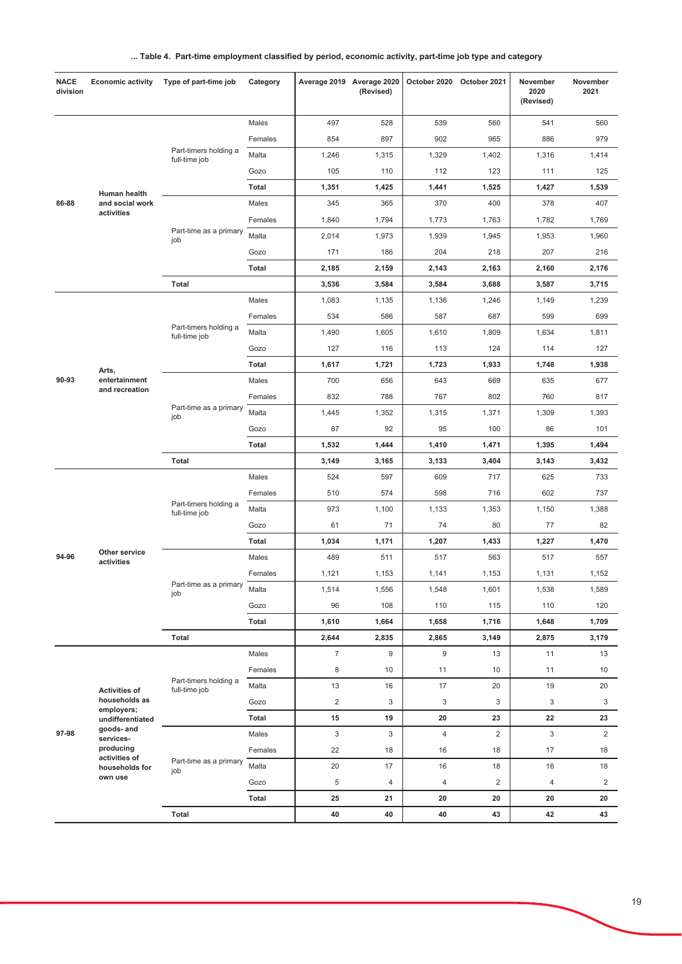| Table 4. Part-time employment classified by period, economic activity, part-time job type and category |  |  |
|--------------------------------------------------------------------------------------------------------|--|--|
|                                                                                                        |  |  |

| <b>NACE</b><br>division | <b>Economic activity</b>        | Type of part-time job                  | Category     |                | Average 2019 Average 2020<br>(Revised) | October 2020 October 2021 |                | November<br>2020<br>(Revised) | November<br>2021 |
|-------------------------|---------------------------------|----------------------------------------|--------------|----------------|----------------------------------------|---------------------------|----------------|-------------------------------|------------------|
|                         |                                 |                                        | Males        | 497            | 528                                    | 539                       | 560            | 541                           | 560              |
|                         |                                 |                                        | Females      | 854            | 897                                    | 902                       | 965            | 886                           | 979              |
|                         |                                 | Part-timers holding a<br>full-time job | Malta        | 1,246          | 1,315                                  | 1,329                     | 1,402          | 1,316                         | 1,414            |
|                         |                                 |                                        | Gozo         | 105            | 110                                    | 112                       | 123            | 111                           | 125              |
|                         | Human health                    |                                        | <b>Total</b> | 1,351          | 1,425                                  | 1,441                     | 1,525          | 1,427                         | 1,539            |
| 86-88                   | and social work                 |                                        | Males        | 345            | 365                                    | 370                       | 400            | 378                           | 407              |
|                         | activities                      |                                        | Females      | 1,840          | 1,794                                  | 1,773                     | 1,763          | 1,782                         | 1,769            |
|                         |                                 | Part-time as a primary<br>job          | Malta        | 2,014          | 1,973                                  | 1,939                     | 1,945          | 1,953                         | 1,960            |
|                         |                                 |                                        | Gozo         | 171            | 186                                    | 204                       | 218            | 207                           | 216              |
|                         |                                 |                                        | <b>Total</b> | 2,185          | 2,159                                  | 2,143                     | 2,163          | 2,160                         | 2,176            |
|                         |                                 | <b>Total</b>                           |              | 3,536          | 3,584                                  | 3,584                     | 3,688          | 3,587                         | 3,715            |
|                         |                                 |                                        | Males        | 1,083          | 1,135                                  | 1,136                     | 1,246          | 1,149                         | 1,239            |
|                         |                                 |                                        | Females      | 534            | 586                                    | 587                       | 687            | 599                           | 699              |
|                         |                                 | Part-timers holding a<br>full-time job | Malta        | 1,490          | 1,605                                  | 1,610                     | 1,809          | 1,634                         | 1,811            |
|                         |                                 |                                        | Gozo         | 127            | 116                                    | 113                       | 124            | 114                           | 127              |
| 90-93                   | Arts,                           |                                        | <b>Total</b> | 1,617          | 1,721                                  | 1,723                     | 1,933          | 1,748                         | 1,938            |
|                         | entertainment<br>and recreation |                                        | Males        | 700            | 656                                    | 643                       | 669            | 635                           | 677              |
|                         |                                 |                                        | Females      | 832            | 788                                    | 767                       | 802            | 760                           | 817              |
|                         |                                 | Part-time as a primary<br>job          | Malta        | 1,445          | 1,352                                  | 1,315                     | 1,371          | 1,309                         | 1,393            |
|                         |                                 |                                        | Gozo         | 87             | 92                                     | 95                        | 100            | 86                            | 101              |
|                         |                                 |                                        | <b>Total</b> | 1,532          | 1,444                                  | 1,410                     | 1,471          | 1,395                         | 1,494            |
|                         |                                 | <b>Total</b>                           |              | 3,149          | 3,165                                  | 3,133                     | 3,404          | 3,143                         | 3,432            |
|                         |                                 | Part-timers holding a<br>full-time job | Males        | 524            | 597                                    | 609                       | 717            | 625                           | 733              |
|                         |                                 |                                        | Females      | 510            | 574                                    | 598                       | 716            | 602                           | 737              |
|                         |                                 |                                        | Malta        | 973            | 1,100                                  | 1,133                     | 1,353          | 1,150                         | 1,388            |
|                         |                                 |                                        | Gozo         | 61             | 71                                     | 74                        | 80             | 77                            | 82               |
|                         | Other service                   |                                        | <b>Total</b> | 1,034          | 1,171                                  | 1,207                     | 1,433          | 1,227                         | 1,470            |
| 94-96                   | activities                      |                                        | Males        | 489            | 511                                    | 517                       | 563            | 517                           | 557              |
|                         |                                 | Part-time as a primary                 | Females      | 1,121          | 1,153                                  | 1,141                     | 1,153          | 1,131                         | 1,152            |
|                         |                                 | job                                    | Malta        | 1,514          | 1,556                                  | 1,548                     | 1,601          | 1,538                         | 1,589            |
|                         |                                 |                                        | Gozo         | 96             | 108                                    | 110                       | 115            | 110                           | 120              |
|                         |                                 |                                        | Total        | 1,610          | 1,664                                  | 1,658                     | 1,716          | 1,648                         | 1,709            |
|                         |                                 | <b>Total</b>                           |              | 2,644          | 2,835                                  | 2,865                     | 3,149          | 2,875                         | 3,179            |
|                         |                                 |                                        | Males        | $\overline{7}$ | 9                                      | 9                         | 13             | 11                            | 13               |
|                         |                                 | Part-timers holding a                  | Females      | 8              | 10                                     | 11                        | 10             | 11                            | 10               |
|                         | <b>Activities of</b>            | full-time job                          | Malta        | 13             | 16                                     | 17                        | 20             | 19                            | 20               |
|                         | households as<br>employers;     |                                        | Gozo         | $\overline{c}$ | 3                                      | 3                         | 3              | 3                             | 3                |
|                         | undifferentiated<br>goods- and  |                                        | <b>Total</b> | 15             | 19                                     | 20                        | 23             | 22                            | 23               |
| 97-98                   | services-                       |                                        | Males        | 3              | 3                                      | $\overline{4}$            | $\overline{2}$ | 3                             | $\overline{2}$   |
|                         | producing<br>activities of      | Part-time as a primary                 | Females      | 22             | 18                                     | 16                        | 18             | 17                            | 18               |
|                         | households for<br>own use       | job                                    | Malta        | 20             | 17                                     | 16                        | 18             | 16                            | 18               |
|                         |                                 |                                        | Gozo         | 5              | $\overline{4}$                         | 4                         | $\sqrt{2}$     | 4                             | $\overline{2}$   |
|                         |                                 |                                        | <b>Total</b> | 25             | 21                                     | 20                        | 20             | 20                            | 20               |
|                         |                                 | Total                                  |              | 40             | 40                                     | 40                        | 43             | 42                            | 43               |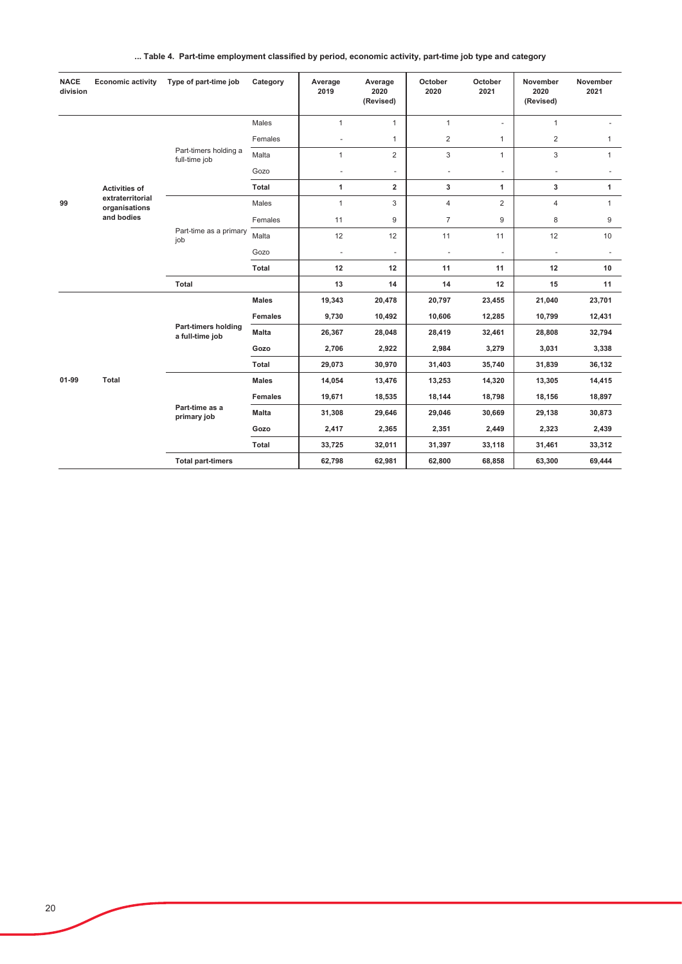|  | Table 4. Part-time employment classified by period, economic activity, part-time job type and category |  |  |  |  |
|--|--------------------------------------------------------------------------------------------------------|--|--|--|--|
|--|--------------------------------------------------------------------------------------------------------|--|--|--|--|

| <b>NACE</b><br>division | <b>Economic activity</b>                                                | Type of part-time job                  | Category       | Average<br>2019 | Average<br>2020<br>(Revised) | October<br>2020 | October<br>2021          | November<br>2020<br>(Revised) | November<br>2021 |
|-------------------------|-------------------------------------------------------------------------|----------------------------------------|----------------|-----------------|------------------------------|-----------------|--------------------------|-------------------------------|------------------|
| 99                      | <b>Activities of</b><br>extraterritorial<br>organisations<br>and bodies | Part-timers holding a<br>full-time job | Males          | $\mathbf{1}$    | $\mathbf{1}$                 | $\mathbf{1}$    | $\omega$                 | $\mathbf{1}$                  |                  |
|                         |                                                                         |                                        | Females        |                 | $\mathbf{1}$                 | $\overline{2}$  | $\mathbf{1}$             | $\overline{2}$                | $\mathbf{1}$     |
|                         |                                                                         |                                        | Malta          | $\mathbf{1}$    | 2                            | 3               | $\mathbf{1}$             | 3                             | $\mathbf{1}$     |
|                         |                                                                         |                                        | Gozo           |                 | ä,                           |                 | ÷,                       | $\overline{\phantom{a}}$      | $\sim$           |
|                         |                                                                         |                                        | Total          | 1               | $\overline{\mathbf{2}}$      | 3               | $\mathbf{1}$             | 3                             | 1                |
|                         |                                                                         | Part-time as a primary<br>job          | Males          | $\mathbf{1}$    | 3                            | $\overline{4}$  | $\overline{2}$           | 4                             | $\mathbf{1}$     |
|                         |                                                                         |                                        | Females        | 11              | 9                            | $\overline{7}$  | 9                        | 8                             | 9                |
|                         |                                                                         |                                        | Malta          | 12              | 12                           | 11              | 11                       | 12                            | 10               |
|                         |                                                                         |                                        | Gozo           | ÷,              | ä,                           |                 | $\overline{\phantom{a}}$ | ä,                            |                  |
|                         |                                                                         |                                        | Total          | 12              | 12                           | 11              | 11                       | 12                            | 10               |
|                         |                                                                         | <b>Total</b>                           |                | 13              | 14                           | 14              | 12                       | 15                            | 11               |
| $01 - 99$               | <b>Total</b>                                                            | Part-timers holding<br>a full-time job | <b>Males</b>   | 19,343          | 20,478                       | 20,797          | 23,455                   | 21,040                        | 23,701           |
|                         |                                                                         |                                        | <b>Females</b> | 9,730           | 10,492                       | 10,606          | 12,285                   | 10,799                        | 12,431           |
|                         |                                                                         |                                        | <b>Malta</b>   | 26,367          | 28,048                       | 28,419          | 32,461                   | 28,808                        | 32,794           |
|                         |                                                                         |                                        | Gozo           | 2,706           | 2,922                        | 2,984           | 3,279                    | 3,031                         | 3,338            |
|                         |                                                                         |                                        | Total          | 29,073          | 30,970                       | 31,403          | 35,740                   | 31,839                        | 36,132           |
|                         |                                                                         | Part-time as a<br>primary job          | <b>Males</b>   | 14,054          | 13,476                       | 13,253          | 14,320                   | 13,305                        | 14,415           |
|                         |                                                                         |                                        | <b>Females</b> | 19,671          | 18,535                       | 18,144          | 18,798                   | 18,156                        | 18,897           |
|                         |                                                                         |                                        | <b>Malta</b>   | 31,308          | 29,646                       | 29,046          | 30,669                   | 29,138                        | 30,873           |
|                         |                                                                         |                                        | Gozo           | 2,417           | 2,365                        | 2,351           | 2,449                    | 2,323                         | 2,439            |
|                         |                                                                         |                                        | Total          | 33,725          | 32,011                       | 31,397          | 33,118                   | 31,461                        | 33,312           |
|                         |                                                                         | <b>Total part-timers</b>               |                | 62,798          | 62,981                       | 62,800          | 68,858                   | 63,300                        | 69,444           |